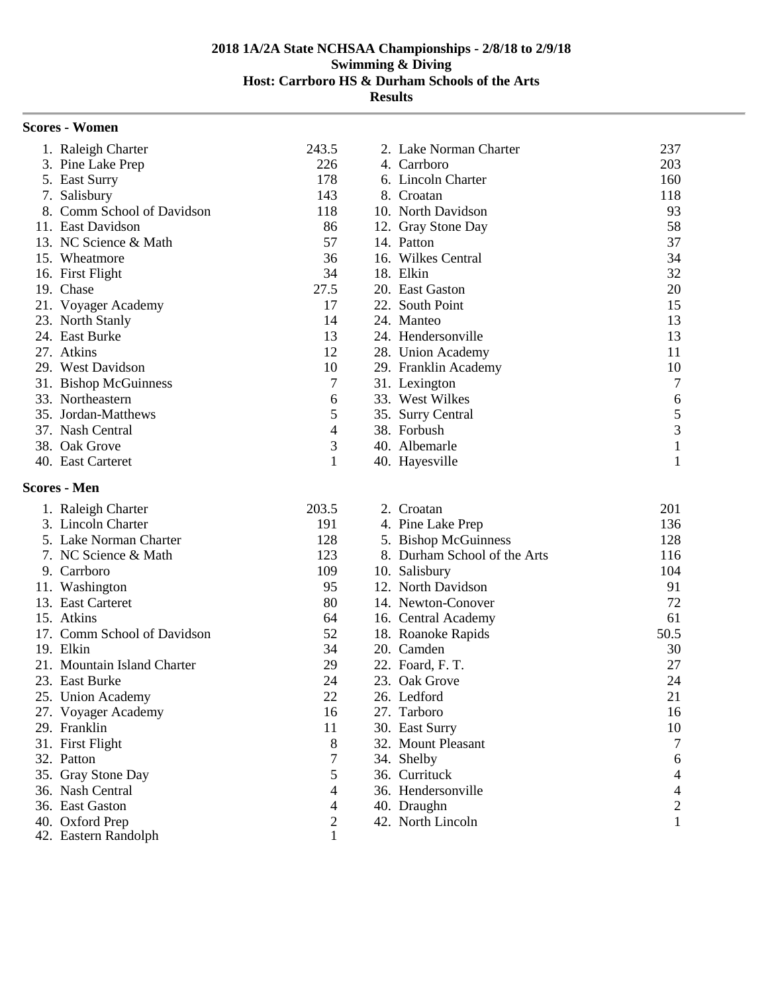| <b>Scores - Women</b>      |       |                        |     |
|----------------------------|-------|------------------------|-----|
| 1. Raleigh Charter         | 243.5 | 2. Lake Norman Charter | 237 |
| 3. Pine Lake Prep          | 226   | 4. Carrboro            | 203 |
| 5. East Surry              | 178   | 6. Lincoln Charter     | 160 |
| 7. Salisbury               | 143   | 8. Croatan             | 118 |
| 8. Comm School of Davidson | 118   | 10. North Davidson     | 93  |
| 11. East Davidson          | 86    | 12. Gray Stone Day     | 58  |
| 13. NC Science & Math      | 57    | 14. Patton             | 37  |
| 15. Wheatmore              | 36    | 16. Wilkes Central     | 34  |
| 16. First Flight           | 34    | 18. Elkin              | 32  |
| 19. Chase                  | 27.5  | 20. East Gaston        | 20  |
| 21. Voyager Academy        | 17    | 22. South Point        | 15  |
| 23. North Stanly           | 14    | 24. Manteo             | 13  |
| 24. East Burke             | 13    | 24. Hendersonville     | 13  |
| 27. Atkins                 | 12    | 28. Union Academy      | 11  |
| 29. West Davidson          | 10    | 29. Franklin Academy   | 10  |
| 31. Bishop McGuinness      | 7     | 31. Lexington          | 7   |
| 33. Northeastern           | 6     | 33. West Wilkes        | 6   |
| 35. Jordan-Matthews        | 5     | 35. Surry Central      | 5   |
| 37. Nash Central           | 4     | 38. Forbush            | 3   |
| 38. Oak Grove              | 3     | 40. Albemarle          |     |
| 40. East Carteret          |       | 40. Hayesville         |     |
| <b>Scores - Men</b>        |       |                        |     |

|     | 1. Raleigh Charter          | 203.5 | 2. Croatan                   | 201            |
|-----|-----------------------------|-------|------------------------------|----------------|
|     | 3. Lincoln Charter          | 191   | 4. Pine Lake Prep            | 136            |
|     | 5. Lake Norman Charter      | 128   | 5. Bishop McGuinness         | 128            |
|     | 7. NC Science & Math        | 123   | 8. Durham School of the Arts | 116            |
|     | 9. Carrboro                 | 109   | 10. Salisbury                | 104            |
|     | 11. Washington              | 95    | 12. North Davidson           | 91             |
|     | 13. East Carteret           | 80    | 14. Newton-Conover           | 72             |
|     | 15. Atkins                  | 64    | 16. Central Academy          | 61             |
|     | 17. Comm School of Davidson | 52    | 18. Roanoke Rapids           | 50.5           |
|     | 19. Elkin                   | 34    | 20. Camden                   | 30             |
|     | 21. Mountain Island Charter | 29    | 22. Foard, F. T.             | 27             |
|     | 23. East Burke              | 24    | 23. Oak Grove                | 24             |
|     | 25. Union Academy           | 22    | 26. Ledford                  | 21             |
|     | 27. Voyager Academy         | 16    | 27. Tarboro                  | 16             |
|     | 29. Franklin                | 11    | 30. East Surry               | 10             |
|     | 31. First Flight            | 8     | 32. Mount Pleasant           | $\overline{7}$ |
|     | 32. Patton                  | 7     | 34. Shelby                   | 6              |
|     | 35. Gray Stone Day          | 5     | 36. Currituck                | 4              |
|     | 36. Nash Central            | 4     | 36. Hendersonville           | 4              |
|     | 36. East Gaston             | 4     | 40. Draughn                  | 2              |
| 40. | Oxford Prep                 | 2     | 42. North Lincoln            |                |
|     | 42. Eastern Randolph        |       |                              |                |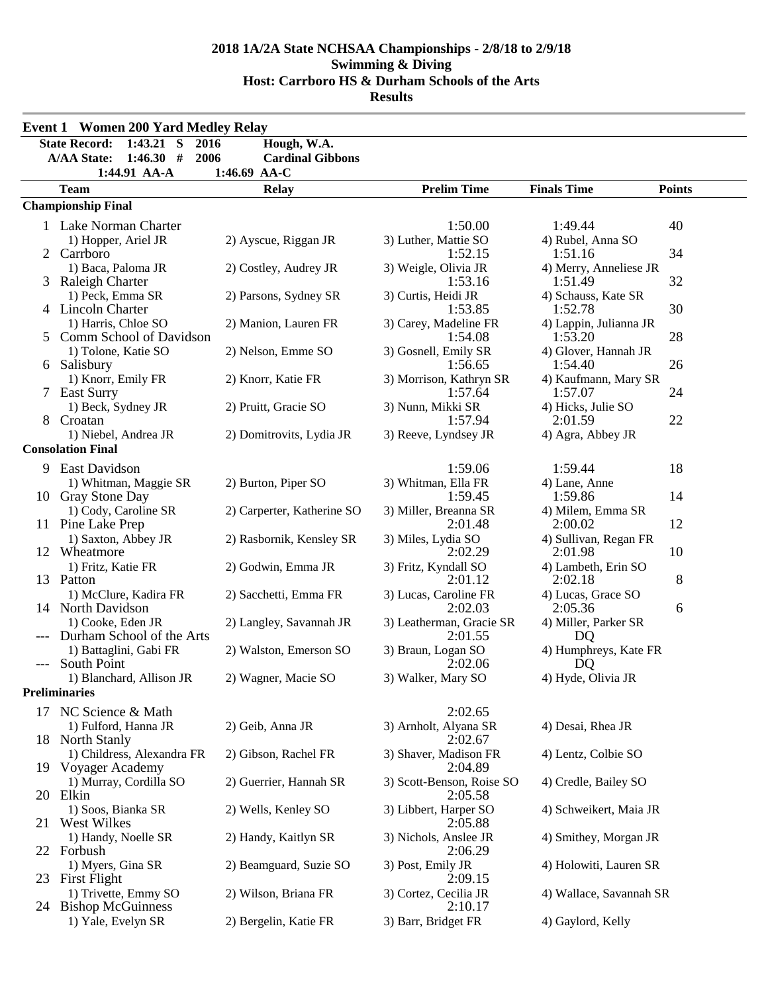|       | <b>Event 1 Women 200 Yard Medley Relay</b>                                            |                                        |                                     |                                 |               |
|-------|---------------------------------------------------------------------------------------|----------------------------------------|-------------------------------------|---------------------------------|---------------|
|       | $1:43.21$ S<br><b>State Record:</b><br>2016<br>1:46.30#<br>2006<br><b>A/AA State:</b> | Hough, W.A.<br><b>Cardinal Gibbons</b> |                                     |                                 |               |
|       | 1:44.91 AA-A                                                                          | 1:46.69 AA-C                           |                                     |                                 |               |
|       | <b>Team</b>                                                                           | <b>Relay</b>                           | <b>Prelim Time</b>                  | <b>Finals Time</b>              | <b>Points</b> |
|       | <b>Championship Final</b>                                                             |                                        |                                     |                                 |               |
|       | 1 Lake Norman Charter                                                                 |                                        | 1:50.00                             | 1:49.44                         | 40            |
|       | 1) Hopper, Ariel JR                                                                   | 2) Ayscue, Riggan JR                   | 3) Luther, Mattie SO                | 4) Rubel, Anna SO               |               |
|       | 2 Carrboro                                                                            |                                        | 1:52.15                             | 1:51.16                         | 34            |
|       | 1) Baca, Paloma JR                                                                    | 2) Costley, Audrey JR                  | 3) Weigle, Olivia JR                | 4) Merry, Anneliese JR          |               |
|       | 3 Raleigh Charter                                                                     |                                        | 1:53.16                             | 1:51.49                         | 32            |
|       | 1) Peck, Emma SR                                                                      | 2) Parsons, Sydney SR                  | 3) Curtis, Heidi JR                 | 4) Schauss, Kate SR             |               |
|       | 4 Lincoln Charter                                                                     |                                        | 1:53.85                             | 1:52.78                         | 30            |
|       | 1) Harris, Chloe SO                                                                   | 2) Manion, Lauren FR                   | 3) Carey, Madeline FR               | 4) Lappin, Julianna JR          |               |
|       | Comm School of Davidson                                                               |                                        | 1:54.08                             | 1:53.20                         | 28            |
|       | 1) Tolone, Katie SO                                                                   | 2) Nelson, Emme SO                     | 3) Gosnell, Emily SR                | 4) Glover, Hannah JR<br>1:54.40 | 26            |
|       | 6 Salisbury<br>1) Knorr, Emily FR                                                     | 2) Knorr, Katie FR                     | 1:56.65<br>3) Morrison, Kathryn SR  | 4) Kaufmann, Mary SR            |               |
|       | 7 East Surry                                                                          |                                        | 1:57.64                             | 1:57.07                         | 24            |
|       | 1) Beck, Sydney JR                                                                    | 2) Pruitt, Gracie SO                   | 3) Nunn, Mikki SR                   | 4) Hicks, Julie SO              |               |
|       | 8 Croatan                                                                             |                                        | 1:57.94                             | 2:01.59                         | 22            |
|       | 1) Niebel, Andrea JR                                                                  | 2) Domitrovits, Lydia JR               | 3) Reeve, Lyndsey JR                | 4) Agra, Abbey JR               |               |
|       | <b>Consolation Final</b>                                                              |                                        |                                     |                                 |               |
| 9     | <b>East Davidson</b>                                                                  |                                        | 1:59.06                             | 1:59.44                         | 18            |
|       | 1) Whitman, Maggie SR                                                                 | 2) Burton, Piper SO                    | 3) Whitman, Ella FR                 | 4) Lane, Anne                   |               |
|       | 10 Gray Stone Day                                                                     |                                        | 1:59.45                             | 1:59.86                         | 14            |
|       | 1) Cody, Caroline SR                                                                  | 2) Carperter, Katherine SO             | 3) Miller, Breanna SR               | 4) Milem, Emma SR               |               |
|       | 11 Pine Lake Prep                                                                     |                                        | 2:01.48                             | 2:00.02                         | 12            |
|       | 1) Saxton, Abbey JR                                                                   | 2) Rasbornik, Kensley SR               | 3) Miles, Lydia SO                  | 4) Sullivan, Regan FR           |               |
|       | 12 Wheatmore                                                                          |                                        | 2:02.29                             | 2:01.98                         | 10            |
|       | 1) Fritz, Katie FR                                                                    | 2) Godwin, Emma JR                     | 3) Fritz, Kyndall SO                | 4) Lambeth, Erin SO             |               |
|       | 13 Patton                                                                             |                                        | 2:01.12                             | 2:02.18                         | 8             |
|       | 1) McClure, Kadira FR                                                                 | 2) Sacchetti, Emma FR                  | 3) Lucas, Caroline FR               | 4) Lucas, Grace SO              |               |
|       | 14 North Davidson                                                                     |                                        | 2:02.03                             | 2:05.36                         | 6             |
| $---$ | 1) Cooke, Eden JR<br>Durham School of the Arts                                        | 2) Langley, Savannah JR                | 3) Leatherman, Gracie SR<br>2:01.55 | 4) Miller, Parker SR<br>DQ      |               |
|       | 1) Battaglini, Gabi FR                                                                | 2) Walston, Emerson SO                 | 3) Braun, Logan SO                  | 4) Humphreys, Kate FR           |               |
|       | South Point                                                                           |                                        | 2:02.06                             | DQ                              |               |
|       | 1) Blanchard, Allison JR                                                              | 2) Wagner, Macie SO                    | 3) Walker, Mary SO                  | 4) Hyde, Olivia JR              |               |
|       | <b>Preliminaries</b>                                                                  |                                        |                                     |                                 |               |
|       | 17 NC Science & Math                                                                  |                                        | 2:02.65                             |                                 |               |
|       | 1) Fulford, Hanna JR                                                                  | 2) Geib, Anna JR                       | 3) Arnholt, Alyana SR               | 4) Desai, Rhea JR               |               |
|       | 18 North Stanly                                                                       |                                        | 2:02.67                             |                                 |               |
|       | 1) Childress, Alexandra FR                                                            | 2) Gibson, Rachel FR                   | 3) Shaver, Madison FR               | 4) Lentz, Colbie SO             |               |
|       | 19 Voyager Academy                                                                    |                                        | 2:04.89                             |                                 |               |
|       | 1) Murray, Cordilla SO                                                                | 2) Guerrier, Hannah SR                 | 3) Scott-Benson, Roise SO           | 4) Credle, Bailey SO            |               |
|       | 20 Elkin                                                                              |                                        | 2:05.58                             |                                 |               |
|       | 1) Soos, Bianka SR                                                                    | 2) Wells, Kenley SO                    | 3) Libbert, Harper SO               | 4) Schweikert, Maia JR          |               |
|       | 21 West Wilkes                                                                        |                                        | 2:05.88                             |                                 |               |
|       | 1) Handy, Noelle SR                                                                   | 2) Handy, Kaitlyn SR                   | 3) Nichols, Anslee JR               | 4) Smithey, Morgan JR           |               |
|       | 22 Forbush                                                                            |                                        | 2:06.29                             |                                 |               |
|       | 1) Myers, Gina SR                                                                     | 2) Beamguard, Suzie SO                 | 3) Post, Emily JR                   | 4) Holowiti, Lauren SR          |               |
|       | 23 First Flight<br>1) Trivette, Emmy SO                                               |                                        | 2:09.15<br>3) Cortez, Cecilia JR    |                                 |               |
|       | 24 Bishop McGuinness                                                                  | 2) Wilson, Briana FR                   | 2:10.17                             | 4) Wallace, Savannah SR         |               |
|       | 1) Yale, Evelyn SR                                                                    | 2) Bergelin, Katie FR                  | 3) Barr, Bridget FR                 | 4) Gaylord, Kelly               |               |
|       |                                                                                       |                                        |                                     |                                 |               |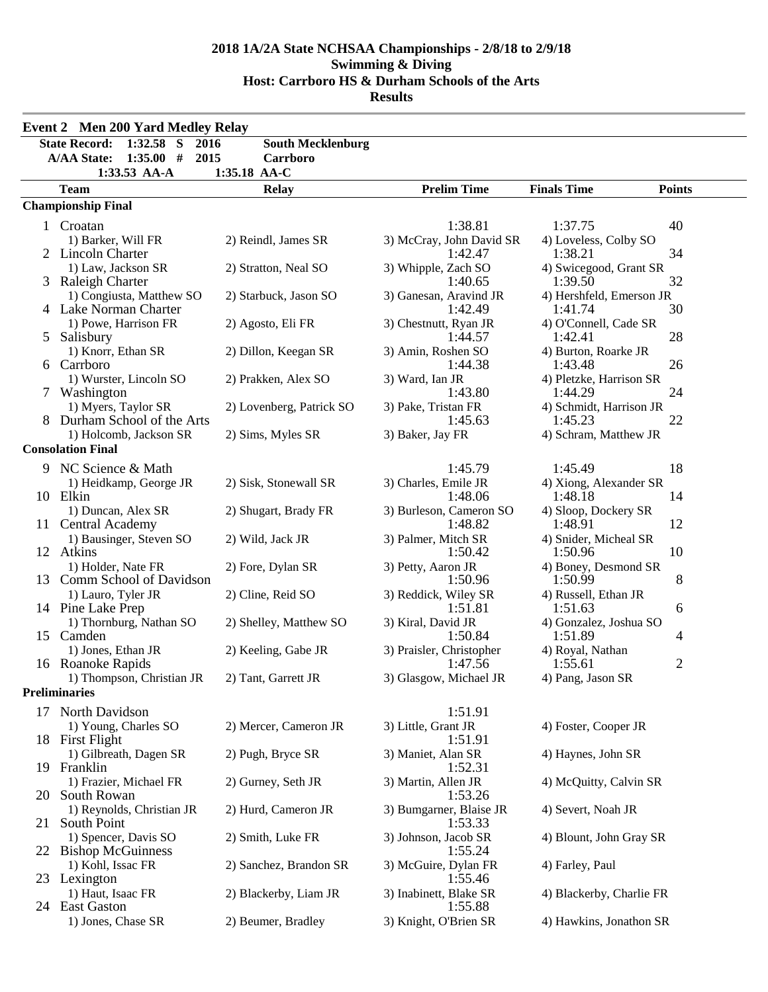|    | <b>Event 2 Men 200 Yard Medley Relay</b>                                              |                                      |                                     |                                     |                |
|----|---------------------------------------------------------------------------------------|--------------------------------------|-------------------------------------|-------------------------------------|----------------|
|    | <b>State Record:</b><br>$1:32.58$ S<br>2016<br>1:35.00#<br><b>A/AA State:</b><br>2015 | <b>South Mecklenburg</b><br>Carrboro |                                     |                                     |                |
|    | $1:33.53$ AA-A                                                                        | 1:35.18 AA-C                         |                                     |                                     |                |
|    | <b>Team</b>                                                                           | <b>Relay</b>                         | <b>Prelim Time</b>                  | <b>Finals Time</b>                  | <b>Points</b>  |
|    | <b>Championship Final</b>                                                             |                                      |                                     |                                     |                |
|    | 1 Croatan                                                                             |                                      | 1:38.81                             | 1:37.75                             | 40             |
|    | 1) Barker, Will FR<br>2 Lincoln Charter                                               | 2) Reindl, James SR                  | 3) McCray, John David SR<br>1:42.47 | 4) Loveless, Colby SO<br>1:38.21    | 34             |
|    | 1) Law, Jackson SR<br>3 Raleigh Charter                                               | 2) Stratton, Neal SO                 | 3) Whipple, Zach SO<br>1:40.65      | 4) Swicegood, Grant SR<br>1:39.50   | 32             |
|    | 1) Congiusta, Matthew SO<br>4 Lake Norman Charter                                     | 2) Starbuck, Jason SO                | 3) Ganesan, Aravind JR<br>1:42.49   | 4) Hershfeld, Emerson JR<br>1:41.74 | 30             |
| 5  | 1) Powe, Harrison FR<br>Salisbury                                                     | 2) Agosto, Eli FR                    | 3) Chestnutt, Ryan JR<br>1:44.57    | 4) O'Connell, Cade SR<br>1:42.41    | 28             |
| 6  | 1) Knorr, Ethan SR<br>Carrboro                                                        | 2) Dillon, Keegan SR                 | 3) Amin, Roshen SO<br>1:44.38       | 4) Burton, Roarke JR<br>1:43.48     | 26             |
|    | 1) Wurster, Lincoln SO<br>Washington                                                  | 2) Prakken, Alex SO                  | 3) Ward, Ian JR<br>1:43.80          | 4) Pletzke, Harrison SR<br>1:44.29  | 24             |
|    | 1) Myers, Taylor SR<br>8 Durham School of the Arts                                    | 2) Lovenberg, Patrick SO             | 3) Pake, Tristan FR<br>1:45.63      | 4) Schmidt, Harrison JR<br>1:45.23  | 22             |
|    | 1) Holcomb, Jackson SR<br><b>Consolation Final</b>                                    | 2) Sims, Myles SR                    | 3) Baker, Jay FR                    | 4) Schram, Matthew JR               |                |
| 9. | NC Science & Math                                                                     |                                      | 1:45.79                             | 1:45.49                             | 18             |
|    | 1) Heidkamp, George JR<br>10 Elkin                                                    | 2) Sisk, Stonewall SR                | 3) Charles, Emile JR<br>1:48.06     | 4) Xiong, Alexander SR<br>1:48.18   | 14             |
|    | 1) Duncan, Alex SR<br>11 Central Academy                                              | 2) Shugart, Brady FR                 | 3) Burleson, Cameron SO<br>1:48.82  | 4) Sloop, Dockery SR<br>1:48.91     | 12             |
|    | 1) Bausinger, Steven SO<br>12 Atkins                                                  | 2) Wild, Jack JR                     | 3) Palmer, Mitch SR<br>1:50.42      | 4) Snider, Micheal SR<br>1:50.96    | 10             |
|    | 1) Holder, Nate FR<br>13 Comm School of Davidson                                      | 2) Fore, Dylan SR                    | 3) Petty, Aaron JR<br>1:50.96       | 4) Boney, Desmond SR<br>1:50.99     | 8              |
|    | 1) Lauro, Tyler JR<br>14 Pine Lake Prep                                               | 2) Cline, Reid SO                    | 3) Reddick, Wiley SR<br>1:51.81     | 4) Russell, Ethan JR<br>1:51.63     | 6              |
|    | 1) Thornburg, Nathan SO<br>15 Camden                                                  | 2) Shelley, Matthew SO               | 3) Kiral, David JR<br>1:50.84       | 4) Gonzalez, Joshua SO<br>1:51.89   | 4              |
|    | 1) Jones, Ethan JR<br>16 Roanoke Rapids                                               | 2) Keeling, Gabe JR                  | 3) Praisler, Christopher<br>1:47.56 | 4) Royal, Nathan<br>1:55.61         | $\overline{2}$ |
|    | 1) Thompson, Christian JR<br><b>Preliminaries</b>                                     | 2) Tant, Garrett JR                  | 3) Glasgow, Michael JR              | 4) Pang, Jason SR                   |                |
|    |                                                                                       |                                      |                                     |                                     |                |
|    | 17 North Davidson<br>1) Young, Charles SO                                             | 2) Mercer, Cameron JR                | 1:51.91<br>3) Little, Grant JR      | 4) Foster, Cooper JR                |                |
|    | 18 First Flight<br>1) Gilbreath, Dagen SR                                             | 2) Pugh, Bryce SR                    | 1:51.91<br>3) Maniet, Alan SR       | 4) Haynes, John SR                  |                |
|    | 19 Franklin<br>1) Frazier, Michael FR                                                 | 2) Gurney, Seth JR                   | 1:52.31<br>3) Martin, Allen JR      | 4) McQuitty, Calvin SR              |                |
|    | 20 South Rowan<br>1) Reynolds, Christian JR                                           | 2) Hurd, Cameron JR                  | 1:53.26<br>3) Bumgarner, Blaise JR  | 4) Severt, Noah JR                  |                |
| 21 | South Point<br>1) Spencer, Davis SO                                                   | 2) Smith, Luke FR                    | 1:53.33<br>3) Johnson, Jacob SR     | 4) Blount, John Gray SR             |                |
| 22 | <b>Bishop McGuinness</b><br>1) Kohl, Issac FR                                         | 2) Sanchez, Brandon SR               | 1:55.24<br>3) McGuire, Dylan FR     | 4) Farley, Paul                     |                |
|    | 23 Lexington<br>1) Haut, Isaac FR                                                     | 2) Blackerby, Liam JR                | 1:55.46<br>3) Inabinett, Blake SR   | 4) Blackerby, Charlie FR            |                |
|    | 24 East Gaston<br>1) Jones, Chase SR                                                  | 2) Beumer, Bradley                   | 1:55.88<br>3) Knight, O'Brien SR    | 4) Hawkins, Jonathon SR             |                |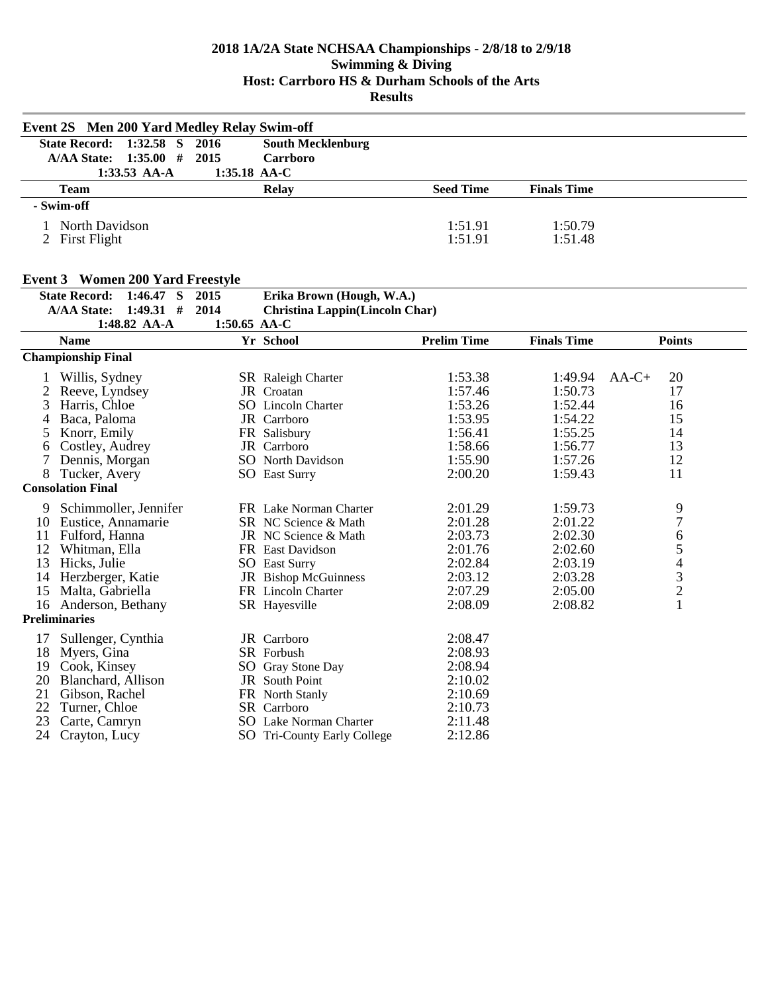|    | <b>Event 2S</b> Men 200 Yard Medley Relay Swim-off |                |                                       |                    |                    |                                                 |
|----|----------------------------------------------------|----------------|---------------------------------------|--------------------|--------------------|-------------------------------------------------|
|    | <b>State Record:</b><br>$1:32.58$ S                | 2016           | <b>South Mecklenburg</b>              |                    |                    |                                                 |
|    | 1:35.00#<br><b>A/AA State:</b>                     | 2015           | Carrboro                              |                    |                    |                                                 |
|    | $1:33.53$ AA-A                                     | $1:35.18$ AA-C |                                       |                    |                    |                                                 |
|    | <b>Team</b>                                        |                | <b>Relay</b>                          | <b>Seed Time</b>   | <b>Finals Time</b> |                                                 |
|    | - Swim-off                                         |                |                                       |                    |                    |                                                 |
|    | 1 North Davidson                                   |                |                                       | 1:51.91            | 1:50.79            |                                                 |
|    | 2 First Flight                                     |                |                                       | 1:51.91            | 1:51.48            |                                                 |
|    |                                                    |                |                                       |                    |                    |                                                 |
|    |                                                    |                |                                       |                    |                    |                                                 |
|    | <b>Event 3 Women 200 Yard Freestyle</b>            |                |                                       |                    |                    |                                                 |
|    | $1:46.47$ S<br><b>State Record:</b>                | 2015           | Erika Brown (Hough, W.A.)             |                    |                    |                                                 |
|    | $1:49.31$ #<br><b>A/AA State:</b>                  | 2014           | <b>Christina Lappin(Lincoln Char)</b> |                    |                    |                                                 |
|    | 1:48.82 AA-A                                       | $1:50.65$ AA-C |                                       |                    |                    |                                                 |
|    | <b>Name</b>                                        |                | Yr School                             | <b>Prelim Time</b> | <b>Finals Time</b> | <b>Points</b>                                   |
|    | <b>Championship Final</b>                          |                |                                       |                    |                    |                                                 |
| 1  | Willis, Sydney                                     |                | <b>SR</b> Raleigh Charter             | 1:53.38            | 1:49.94            | 20<br>$AA-C+$                                   |
| 2  | Reeve, Lyndsey                                     |                | JR Croatan                            | 1:57.46            | 1:50.73            | 17                                              |
| 3  | Harris, Chloe                                      |                | <b>SO</b> Lincoln Charter             | 1:53.26            | 1:52.44            | 16                                              |
| 4  | Baca, Paloma                                       |                | JR Carrboro                           | 1:53.95            | 1:54.22            | 15                                              |
| 5  | Knorr, Emily                                       |                | FR Salisbury                          | 1:56.41            | 1:55.25            | 14                                              |
| 6  | Costley, Audrey                                    |                | <b>JR</b> Carrboro                    | 1:58.66            | 1:56.77            | 13                                              |
| 7  | Dennis, Morgan                                     |                | <b>SO</b> North Davidson              | 1:55.90            | 1:57.26            | 12                                              |
| 8  | Tucker, Avery                                      |                | <b>SO</b> East Surry                  | 2:00.20            | 1:59.43            | 11                                              |
|    | <b>Consolation Final</b>                           |                |                                       |                    |                    |                                                 |
| 9  | Schimmoller, Jennifer                              |                | FR Lake Norman Charter                | 2:01.29            | 1:59.73            | 9                                               |
|    | 10 Eustice, Annamarie                              |                | SR NC Science & Math                  | 2:01.28            | 2:01.22            | $\overline{7}$                                  |
| 11 | Fulford, Hanna                                     |                | JR NC Science & Math                  | 2:03.73            | 2:02.30            | $\sqrt{6}$                                      |
| 12 | Whitman, Ella                                      |                | FR East Davidson                      | 2:01.76            | 2:02.60            |                                                 |
| 13 | Hicks, Julie                                       |                | <b>SO</b> East Surry                  | 2:02.84            | 2:03.19            | $\begin{array}{c} 5 \\ 4 \\ 3 \\ 2 \end{array}$ |
|    | 14 Herzberger, Katie                               |                | JR Bishop McGuinness                  | 2:03.12            | 2:03.28            |                                                 |
|    | 15 Malta, Gabriella                                |                | FR Lincoln Charter                    | 2:07.29            | 2:05.00            |                                                 |
|    | 16 Anderson, Bethany                               |                | SR Hayesville                         | 2:08.09            | 2:08.82            | $\mathbf{1}$                                    |
|    | Preliminaries                                      |                |                                       |                    |                    |                                                 |
| 17 | Sullenger, Cynthia                                 |                | JR Carrboro                           | 2:08.47            |                    |                                                 |
|    | 18 Myers, Gina                                     |                | <b>SR</b> Forbush                     | 2:08.93            |                    |                                                 |
| 19 | Cook, Kinsey                                       |                | SO Gray Stone Day                     | 2:08.94            |                    |                                                 |
| 20 | Blanchard, Allison                                 |                | <b>JR</b> South Point                 | 2:10.02            |                    |                                                 |
| 21 | Gibson, Rachel                                     |                | FR North Stanly                       | 2:10.69            |                    |                                                 |
| 22 | Turner, Chloe                                      |                | SR Carrboro                           | 2:10.73            |                    |                                                 |
| 23 | Carte, Camryn                                      |                | <b>SO</b> Lake Norman Charter         | 2:11.48            |                    |                                                 |
| 24 | Crayton, Lucy                                      |                | SO Tri-County Early College           | 2:12.86            |                    |                                                 |
|    |                                                    |                |                                       |                    |                    |                                                 |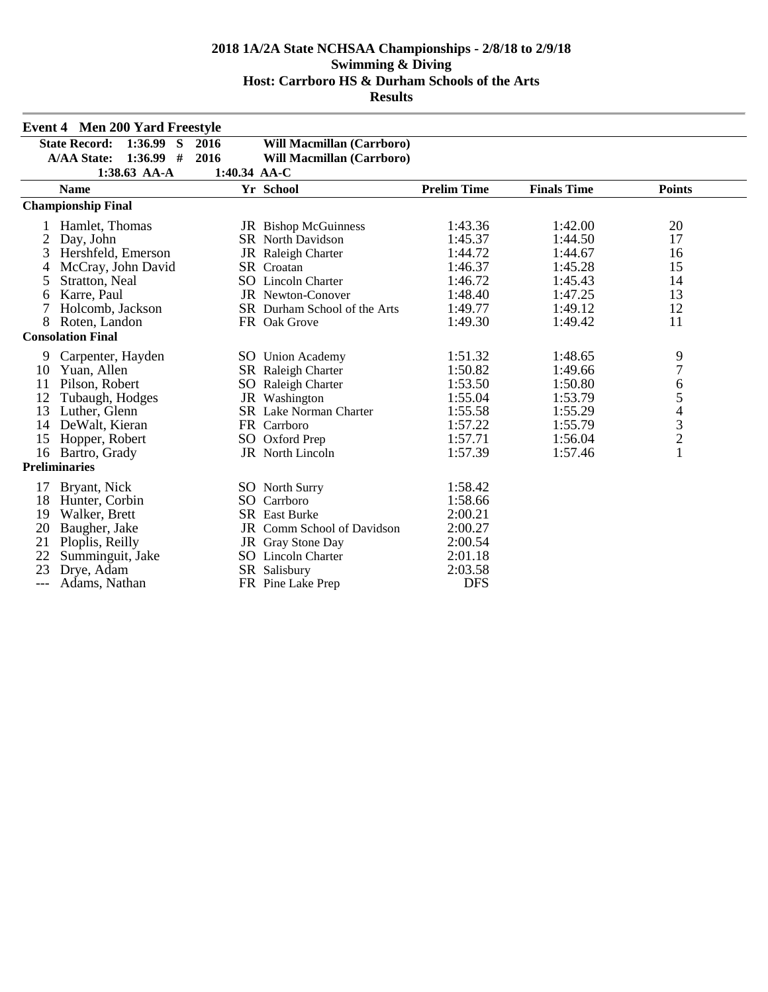|     | <b>Event 4 Men 200 Yard Freestyle</b> |              |                                  |                    |                    |                                                 |
|-----|---------------------------------------|--------------|----------------------------------|--------------------|--------------------|-------------------------------------------------|
|     | 1:36.99<br>S<br><b>State Record:</b>  | 2016         | <b>Will Macmillan (Carrboro)</b> |                    |                    |                                                 |
|     | $1:36.99$ #<br><b>A/AA State:</b>     | 2016         | <b>Will Macmillan (Carrboro)</b> |                    |                    |                                                 |
|     | $1:38.63$ AA-A                        | 1:40.34 AA-C |                                  |                    |                    |                                                 |
|     | <b>Name</b>                           |              | Yr School                        | <b>Prelim Time</b> | <b>Finals Time</b> | <b>Points</b>                                   |
|     | <b>Championship Final</b>             |              |                                  |                    |                    |                                                 |
|     | Hamlet, Thomas                        |              | JR Bishop McGuinness             | 1:43.36            | 1:42.00            | 20                                              |
| 2   | Day, John                             |              | <b>SR</b> North Davidson         | 1:45.37            | 1:44.50            | 17                                              |
| 3   | Hershfeld, Emerson                    |              | JR Raleigh Charter               | 1:44.72            | 1:44.67            | 16                                              |
| 4   | McCray, John David                    |              | <b>SR</b> Croatan                | 1:46.37            | 1:45.28            | 15                                              |
| 5   | Stratton, Neal                        |              | SO Lincoln Charter               | 1:46.72            | 1:45.43            | 14                                              |
| 6   | Karre, Paul                           |              | JR Newton-Conover                | 1:48.40            | 1:47.25            | 13                                              |
| 7   | Holcomb, Jackson                      |              | SR Durham School of the Arts     | 1:49.77            | 1:49.12            | 12                                              |
| 8   | Roten, Landon                         |              | FR Oak Grove                     | 1:49.30            | 1:49.42            | 11                                              |
|     | <b>Consolation Final</b>              |              |                                  |                    |                    |                                                 |
| 9   | Carpenter, Hayden                     |              | SO Union Academy                 | 1:51.32            | 1:48.65            | 9                                               |
| 10  | Yuan, Allen                           |              | SR Raleigh Charter               | 1:50.82            | 1:49.66            | $\boldsymbol{7}$                                |
| 11  | Pilson, Robert                        |              | SO Raleigh Charter               | 1:53.50            | 1:50.80            | 6                                               |
| 12  | Tubaugh, Hodges                       |              | JR Washington                    | 1:55.04            | 1:53.79            | $\begin{array}{c} 5 \\ 4 \\ 3 \\ 2 \end{array}$ |
| 13  | Luther, Glenn                         |              | <b>SR</b> Lake Norman Charter    | 1:55.58            | 1:55.29            |                                                 |
| 14  | DeWalt, Kieran                        |              | FR Carrboro                      | 1:57.22            | 1:55.79            |                                                 |
| 15  | Hopper, Robert                        |              | SO Oxford Prep                   | 1:57.71            | 1:56.04            |                                                 |
| 16  | Bartro, Grady                         |              | JR North Lincoln                 | 1:57.39            | 1:57.46            | $\mathbf{1}$                                    |
|     | <b>Preliminaries</b>                  |              |                                  |                    |                    |                                                 |
| 17  | Bryant, Nick                          |              | <b>SO</b> North Surry            | 1:58.42            |                    |                                                 |
| 18  | Hunter, Corbin                        |              | SO Carrboro                      | 1:58.66            |                    |                                                 |
| 19  | Walker, Brett                         |              | <b>SR</b> East Burke             | 2:00.21            |                    |                                                 |
| 20  | Baugher, Jake                         |              | JR Comm School of Davidson       | 2:00.27            |                    |                                                 |
| 21  | Ploplis, Reilly                       |              | JR Gray Stone Day                | 2:00.54            |                    |                                                 |
| 22  | Summinguit, Jake                      |              | <b>SO</b> Lincoln Charter        | 2:01.18            |                    |                                                 |
| 23  | Drye, Adam                            |              | SR Salisbury                     | 2:03.58            |                    |                                                 |
| --- | Adams, Nathan                         |              | FR Pine Lake Prep                | <b>DFS</b>         |                    |                                                 |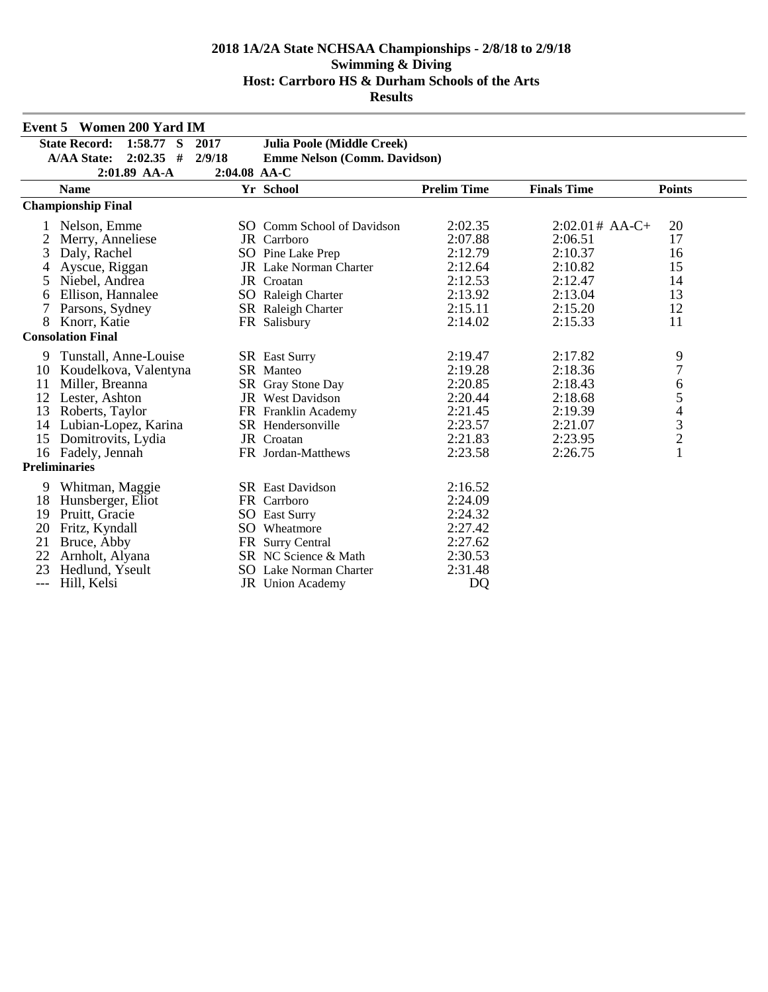|       | <b>Event 5 Women 200 Yard IM</b>                                                      |              |                                     |                |                  |                                            |
|-------|---------------------------------------------------------------------------------------|--------------|-------------------------------------|----------------|------------------|--------------------------------------------|
|       | $1:58.77$ S<br><b>State Record:</b>                                                   | 2017         | <b>Julia Poole (Middle Creek)</b>   |                |                  |                                            |
|       | $2:02.35$ #<br><b>A/AA State:</b>                                                     | 2/9/18       | <b>Emme Nelson (Comm. Davidson)</b> |                |                  |                                            |
|       | 2:01.89 AA-A                                                                          | 2:04.08 AA-C |                                     |                |                  |                                            |
|       | <b>Prelim Time</b><br><b>Finals Time</b><br>Yr School<br><b>Points</b><br><b>Name</b> |              |                                     |                |                  |                                            |
|       | <b>Championship Final</b>                                                             |              |                                     |                |                  |                                            |
|       | Nelson, Emme                                                                          |              | SO Comm School of Davidson          | 2:02.35        | $2:02.01#$ AA-C+ | 20                                         |
| 2     | Merry, Anneliese                                                                      |              | JR Carrboro                         | 2:07.88        | 2:06.51          | 17                                         |
| 3     | Daly, Rachel                                                                          |              | SO Pine Lake Prep                   | 2:12.79        | 2:10.37          | 16                                         |
|       | Ayscue, Riggan                                                                        |              | <b>JR</b> Lake Norman Charter       | 2:12.64        | 2:10.82          | 15                                         |
| 5     | Niebel, Andrea                                                                        |              | JR Croatan                          | 2:12.53        | 2:12.47          | 14                                         |
| 6     | Ellison, Hannalee                                                                     |              | SO Raleigh Charter                  | 2:13.92        | 2:13.04          | 13                                         |
|       | Parsons, Sydney                                                                       |              | SR Raleigh Charter                  | 2:15.11        | 2:15.20          | 12                                         |
| 8     | Knorr, Katie                                                                          |              | FR Salisbury                        | 2:14.02        | 2:15.33          | 11                                         |
|       | <b>Consolation Final</b>                                                              |              |                                     |                |                  |                                            |
| 9     | Tunstall, Anne-Louise                                                                 |              | <b>SR</b> East Surry                | 2:19.47        | 2:17.82          | 9                                          |
| 10    | Koudelkova, Valentyna                                                                 |              | SR Manteo                           | 2:19.28        | 2:18.36          | $\overline{7}$                             |
| 11    | Miller, Breanna                                                                       |              | SR Gray Stone Day                   | 2:20.85        | 2:18.43          | 6                                          |
| 12    | Lester, Ashton                                                                        |              | JR West Davidson                    | 2:20.44        | 2:18.68          | 5                                          |
| 13    | Roberts, Taylor                                                                       |              | FR Franklin Academy                 | 2:21.45        | 2:19.39          | $\begin{array}{c} 4 \\ 3 \\ 2 \end{array}$ |
| 14    | Lubian-Lopez, Karina                                                                  |              | SR Hendersonville                   | 2:23.57        | 2:21.07          |                                            |
| 15    | Domitrovits, Lydia                                                                    |              | JR Croatan                          | 2:21.83        | 2:23.95          |                                            |
|       | 16 Fadely, Jennah                                                                     |              | FR Jordan-Matthews                  | 2:23.58        | 2:26.75          | $\mathbf{1}$                               |
|       | <b>Preliminaries</b>                                                                  |              |                                     |                |                  |                                            |
| 9     | Whitman, Maggie                                                                       |              | <b>SR</b> East Davidson             | 2:16.52        |                  |                                            |
| 18    | Hunsberger, Eliot                                                                     |              | FR Carrboro                         | 2:24.09        |                  |                                            |
| 19    | Pruitt, Gracie                                                                        |              | <b>SO</b> East Surry                | 2:24.32        |                  |                                            |
| 20    | Fritz, Kyndall                                                                        |              | SO Wheatmore                        | 2:27.42        |                  |                                            |
| 21    | Bruce, Abby                                                                           |              | FR Surry Central                    | 2:27.62        |                  |                                            |
| 22    | Arnholt, Alyana                                                                       |              | SR NC Science & Math                | 2:30.53        |                  |                                            |
| 23    | Hedlund, Yseult                                                                       |              | SO Lake Norman Charter              | 2:31.48        |                  |                                            |
| $---$ | Hill, Kelsi                                                                           |              | JR Union Academy                    | D <sub>O</sub> |                  |                                            |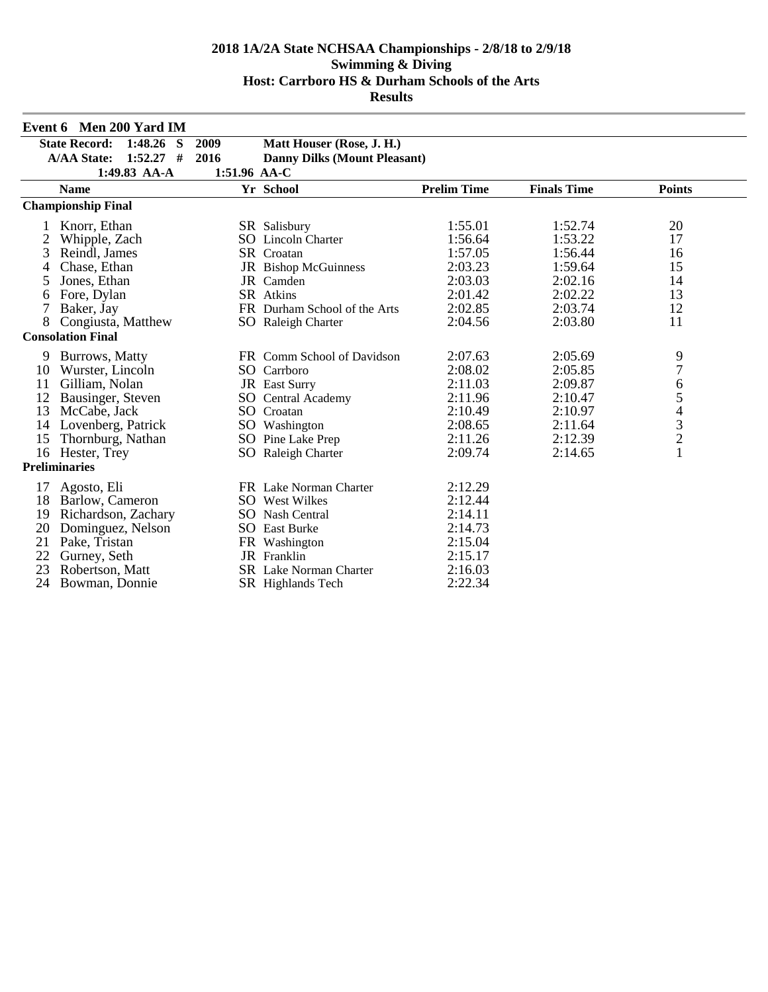|    | Event 6 Men 200 Yard IM                         |              |                                     |                    |                    |                                            |
|----|-------------------------------------------------|--------------|-------------------------------------|--------------------|--------------------|--------------------------------------------|
|    | 1:48.26<br><b>State Record:</b><br><sub>S</sub> | 2009         | Matt Houser (Rose, J. H.)           |                    |                    |                                            |
|    | $1:52.27$ #<br><b>A/AA State:</b>               | 2016         | <b>Danny Dilks (Mount Pleasant)</b> |                    |                    |                                            |
|    | 1:49.83 AA-A                                    | 1:51.96 AA-C |                                     |                    |                    |                                            |
|    | <b>Name</b>                                     |              | Yr School                           | <b>Prelim Time</b> | <b>Finals Time</b> | <b>Points</b>                              |
|    | <b>Championship Final</b>                       |              |                                     |                    |                    |                                            |
|    | Knorr, Ethan                                    |              | SR Salisbury                        | 1:55.01            | 1:52.74            | 20                                         |
| 2  | Whipple, Zach                                   |              | <b>SO</b> Lincoln Charter           | 1:56.64            | 1:53.22            | 17                                         |
| 3  | Reindl, James                                   |              | SR Croatan                          | 1:57.05            | 1:56.44            | 16                                         |
|    | Chase, Ethan                                    |              | JR Bishop McGuinness                | 2:03.23            | 1:59.64            | 15                                         |
| 5  | Jones, Ethan                                    |              | JR Camden                           | 2:03.03            | 2:02.16            | 14                                         |
| 6  | Fore, Dylan                                     |              | SR Atkins                           | 2:01.42            | 2:02.22            | 13                                         |
| 7  | Baker, Jay                                      |              | FR Durham School of the Arts        | 2:02.85            | 2:03.74            | 12                                         |
| 8  | Congiusta, Matthew                              |              | SO Raleigh Charter                  | 2:04.56            | 2:03.80            | 11                                         |
|    | <b>Consolation Final</b>                        |              |                                     |                    |                    |                                            |
| 9  | Burrows, Matty                                  |              | FR Comm School of Davidson          | 2:07.63            | 2:05.69            | 9                                          |
| 10 | Wurster, Lincoln                                |              | SO Carrboro                         | 2:08.02            | 2:05.85            | $\overline{7}$                             |
| 11 | Gilliam, Nolan                                  |              | JR East Surry                       | 2:11.03            | 2:09.87            | 6                                          |
| 12 | Bausinger, Steven                               |              | <b>SO</b> Central Academy           | 2:11.96            | 2:10.47            | 5                                          |
| 13 | McCabe, Jack                                    |              | SO Croatan                          | 2:10.49            | 2:10.97            | $\begin{array}{c} 4 \\ 3 \\ 2 \end{array}$ |
| 14 | Lovenberg, Patrick                              |              | SO Washington                       | 2:08.65            | 2:11.64            |                                            |
| 15 | Thornburg, Nathan                               |              | SO Pine Lake Prep                   | 2:11.26            | 2:12.39            |                                            |
|    | 16 Hester, Trey                                 |              | SO Raleigh Charter                  | 2:09.74            | 2:14.65            | $\mathbf{1}$                               |
|    | <b>Preliminaries</b>                            |              |                                     |                    |                    |                                            |
|    | Agosto, Eli                                     |              | FR Lake Norman Charter              | 2:12.29            |                    |                                            |
| 18 | Barlow, Cameron                                 |              | <b>SO</b> West Wilkes               | 2:12.44            |                    |                                            |
| 19 | Richardson, Zachary                             |              | SO Nash Central                     | 2:14.11            |                    |                                            |
| 20 | Dominguez, Nelson                               |              | <b>SO</b> East Burke                | 2:14.73            |                    |                                            |
| 21 | Pake, Tristan                                   |              | FR Washington                       | 2:15.04            |                    |                                            |
| 22 | Gurney, Seth                                    |              | <b>JR</b> Franklin                  | 2:15.17            |                    |                                            |
| 23 | Robertson, Matt                                 |              | <b>SR</b> Lake Norman Charter       | 2:16.03            |                    |                                            |
| 24 | Bowman, Donnie                                  |              | SR Highlands Tech                   | 2:22.34            |                    |                                            |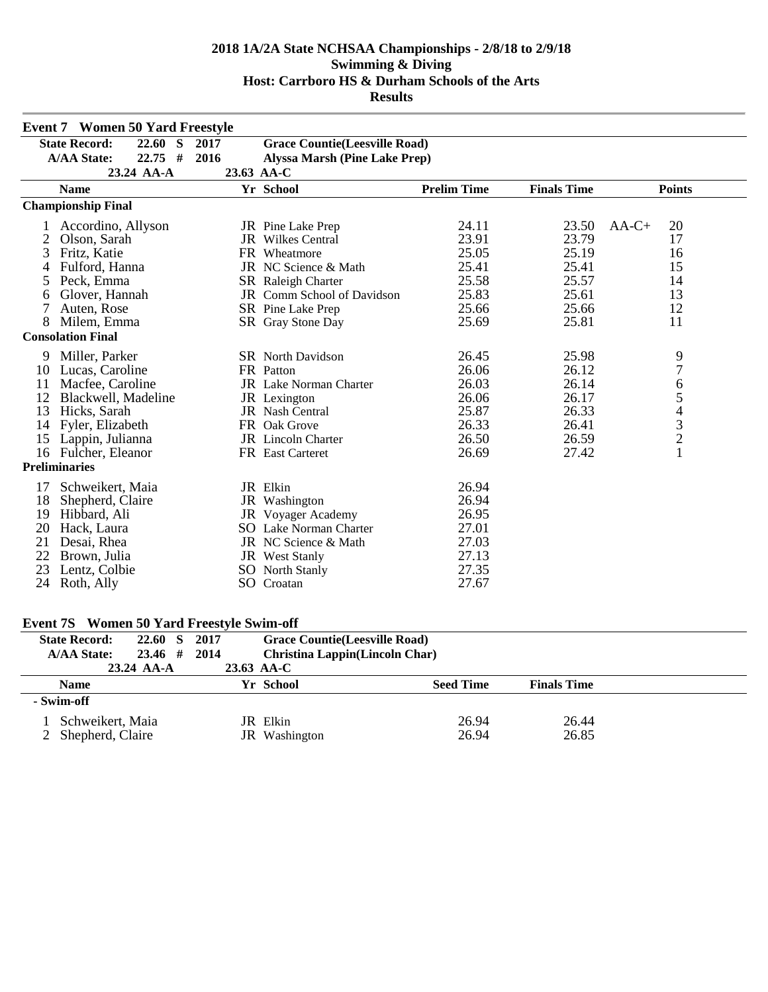|    | <b>Event 7 Women 50 Yard Freestyle</b> |      |                                      |                    |                    |                                            |
|----|----------------------------------------|------|--------------------------------------|--------------------|--------------------|--------------------------------------------|
|    | <b>State Record:</b><br>22.60 S        | 2017 | <b>Grace Countie(Leesville Road)</b> |                    |                    |                                            |
|    | <b>A/AA State:</b><br>$22.75$ #        | 2016 | <b>Alyssa Marsh (Pine Lake Prep)</b> |                    |                    |                                            |
|    | 23.24 AA-A                             |      | 23.63 AA-C                           |                    |                    |                                            |
|    | <b>Name</b>                            |      | Yr School                            | <b>Prelim Time</b> | <b>Finals Time</b> | <b>Points</b>                              |
|    | <b>Championship Final</b>              |      |                                      |                    |                    |                                            |
|    | Accordino, Allyson                     |      | JR Pine Lake Prep                    | 24.11              | 23.50              | $AA-C+$<br>20                              |
|    | Olson, Sarah                           |      | <b>JR</b> Wilkes Central             | 23.91              | 23.79              | 17                                         |
| 3  | Fritz, Katie                           |      | FR Wheatmore                         | 25.05              | 25.19              | 16                                         |
|    | Fulford, Hanna                         |      | JR NC Science & Math                 | 25.41              | 25.41              | 15                                         |
| 5  | Peck, Emma                             |      | SR Raleigh Charter                   | 25.58              | 25.57              | 14                                         |
| 6  | Glover, Hannah                         |      | JR Comm School of Davidson           | 25.83              | 25.61              | 13                                         |
|    | Auten, Rose                            |      | SR Pine Lake Prep                    | 25.66              | 25.66              | 12                                         |
| 8  | Milem, Emma                            |      | SR Gray Stone Day                    | 25.69              | 25.81              | 11                                         |
|    | <b>Consolation Final</b>               |      |                                      |                    |                    |                                            |
| 9  | Miller, Parker                         |      | <b>SR</b> North Davidson             | 26.45              | 25.98              | 9                                          |
| 10 | Lucas, Caroline                        |      | FR Patton                            | 26.06              | 26.12              | $\overline{7}$                             |
| 11 | Macfee, Caroline                       |      | <b>JR</b> Lake Norman Charter        | 26.03              | 26.14              | 6                                          |
| 12 | Blackwell, Madeline                    |      | JR Lexington                         | 26.06              | 26.17              | 5                                          |
| 13 | Hicks, Sarah                           |      | <b>JR</b> Nash Central               | 25.87              | 26.33              |                                            |
| 14 | Fyler, Elizabeth                       |      | FR Oak Grove                         | 26.33              | 26.41              | $\begin{array}{c} 4 \\ 3 \\ 2 \end{array}$ |
| 15 | Lappin, Julianna                       |      | <b>JR</b> Lincoln Charter            | 26.50              | 26.59              |                                            |
|    | 16 Fulcher, Eleanor                    |      | FR East Carteret                     | 26.69              | 27.42              | $\mathbf{1}$                               |
|    | <b>Preliminaries</b>                   |      |                                      |                    |                    |                                            |
| 17 | Schweikert, Maia                       |      | JR Elkin                             | 26.94              |                    |                                            |
| 18 | Shepherd, Claire                       |      | JR Washington                        | 26.94              |                    |                                            |
| 19 | Hibbard, Ali                           |      | JR Voyager Academy                   | 26.95              |                    |                                            |
| 20 | Hack, Laura                            |      | <b>SO</b> Lake Norman Charter        | 27.01              |                    |                                            |
| 21 | Desai, Rhea                            |      | JR NC Science & Math                 | 27.03              |                    |                                            |
| 22 | Brown, Julia                           |      | JR West Stanly                       | 27.13              |                    |                                            |
| 23 | Lentz, Colbie                          |      | <b>SO</b> North Stanly               | 27.35              |                    |                                            |
| 24 | Roth, Ally                             |      | SO Croatan                           | 27.67              |                    |                                            |

# **Event 7S Women 50 Yard Freestyle Swim-off**

| <b>State Record:</b> | 22.60 S                              | 2017 | <b>Grace Countie</b> (Leesville Road) |                                       |                    |  |
|----------------------|--------------------------------------|------|---------------------------------------|---------------------------------------|--------------------|--|
| <b>A/AA State:</b>   | 23.46#                               | 2014 |                                       | <b>Christina Lappin(Lincoln Char)</b> |                    |  |
|                      | $23.24$ AA-A                         |      | 23.63 AA-C                            |                                       |                    |  |
| <b>Name</b>          |                                      |      | Yr School                             | <b>Seed Time</b>                      | <b>Finals Time</b> |  |
| - Swim-off           |                                      |      |                                       |                                       |                    |  |
|                      | Schweikert, Maia<br>Shepherd, Claire |      | JR Elkin<br>JR Washington             | 26.94<br>26.94                        | 26.44<br>26.85     |  |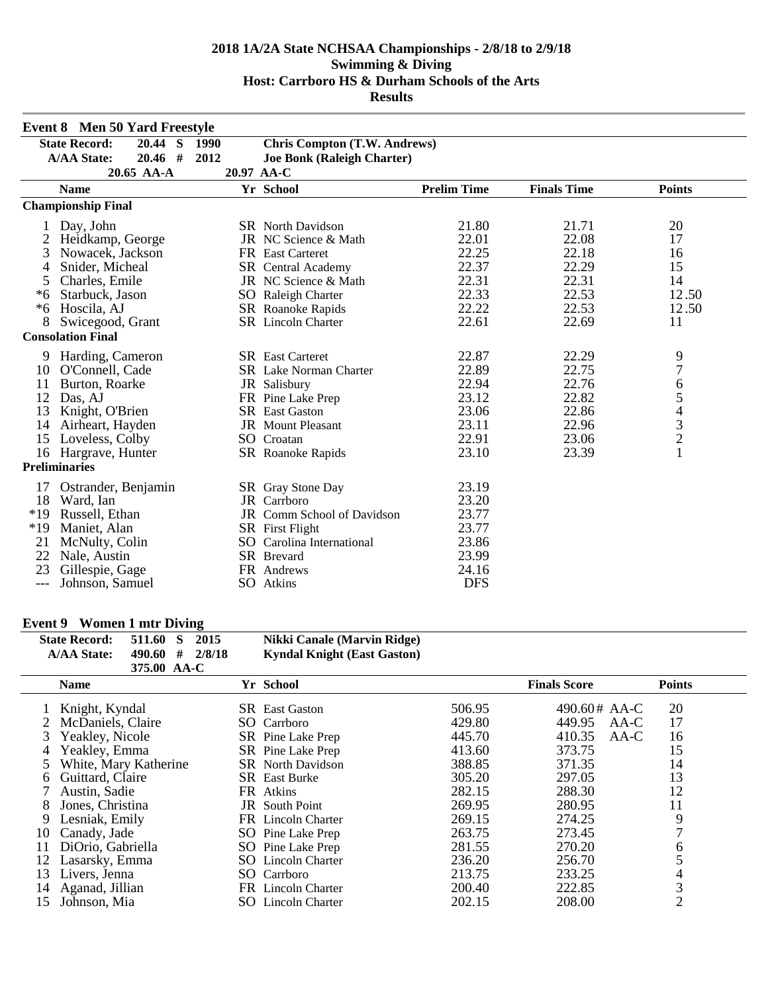|       | <b>Event 8 Men 50 Yard Freestyle</b> |            |                                     |                    |                    |                                            |
|-------|--------------------------------------|------------|-------------------------------------|--------------------|--------------------|--------------------------------------------|
|       | <b>State Record:</b><br>20.44 S      | 1990       | <b>Chris Compton (T.W. Andrews)</b> |                    |                    |                                            |
|       | <b>A/AA State:</b><br>$20.46$ #      | 2012       | <b>Joe Bonk (Raleigh Charter)</b>   |                    |                    |                                            |
|       | 20.65 AA-A                           | 20.97 AA-C |                                     |                    |                    |                                            |
|       | <b>Name</b>                          |            | Yr School                           | <b>Prelim Time</b> | <b>Finals Time</b> | <b>Points</b>                              |
|       | <b>Championship Final</b>            |            |                                     |                    |                    |                                            |
|       | Day, John                            |            | <b>SR</b> North Davidson            | 21.80              | 21.71              | 20                                         |
| 2     | Heidkamp, George                     |            | JR NC Science & Math                | 22.01              | 22.08              | 17                                         |
| 3     | Nowacek, Jackson                     |            | FR East Carteret                    | 22.25              | 22.18              | 16                                         |
|       | Snider, Micheal                      |            | <b>SR</b> Central Academy           | 22.37              | 22.29              | 15                                         |
| 5     | Charles, Emile                       |            | JR NC Science & Math                | 22.31              | 22.31              | 14                                         |
| $*6$  | Starbuck, Jason                      |            | SO Raleigh Charter                  | 22.33              | 22.53              | 12.50                                      |
| $*6$  | Hoscila, AJ                          |            | SR Roanoke Rapids                   | 22.22              | 22.53              | 12.50                                      |
| 8     | Swicegood, Grant                     |            | <b>SR</b> Lincoln Charter           | 22.61              | 22.69              | 11                                         |
|       | <b>Consolation Final</b>             |            |                                     |                    |                    |                                            |
| 9     | Harding, Cameron                     |            | <b>SR</b> East Carteret             | 22.87              | 22.29              | 9                                          |
| 10    | O'Connell, Cade                      |            | SR Lake Norman Charter              | 22.89              | 22.75              | $\overline{7}$                             |
| 11    | Burton, Roarke                       |            | JR Salisbury                        | 22.94              | 22.76              | 6                                          |
| 12    | Das, AJ                              |            | FR Pine Lake Prep                   | 23.12              | 22.82              | 5                                          |
| 13    | Knight, O'Brien                      |            | <b>SR</b> East Gaston               | 23.06              | 22.86              |                                            |
| 14    | Airheart, Hayden                     |            | <b>JR</b> Mount Pleasant            | 23.11              | 22.96              | $\begin{array}{c} 4 \\ 3 \\ 2 \end{array}$ |
| 15    | Loveless, Colby                      |            | SO Croatan                          | 22.91              | 23.06              |                                            |
|       | 16 Hargrave, Hunter                  |            | SR Roanoke Rapids                   | 23.10              | 23.39              | $\mathbf{1}$                               |
|       | <b>Preliminaries</b>                 |            |                                     |                    |                    |                                            |
|       | Ostrander, Benjamin                  |            | SR Gray Stone Day                   | 23.19              |                    |                                            |
| 18    | Ward, Ian                            |            | <b>JR</b> Carrboro                  | 23.20              |                    |                                            |
| $*19$ | Russell, Ethan                       |            | JR Comm School of Davidson          | 23.77              |                    |                                            |
| $*19$ | Maniet, Alan                         |            | SR First Flight                     | 23.77              |                    |                                            |
| 21    | McNulty, Colin                       |            | SO Carolina International           | 23.86              |                    |                                            |
| 22    | Nale, Austin                         |            | SR Brevard                          | 23.99              |                    |                                            |
| 23    | Gillespie, Gage                      |            | FR Andrews                          | 24.16              |                    |                                            |
| $---$ | Johnson, Samuel                      |            | SO Atkins                           | <b>DFS</b>         |                    |                                            |

## **Event 9 Women 1 mtr Diving**

| <b>State Record:</b> | 511.60 S            | 2015 | Nikki Canale (Marvin Ridge)        |
|----------------------|---------------------|------|------------------------------------|
| <b>A/AA State:</b>   | $490.60$ # $2/8/18$ |      | <b>Kyndal Knight (East Gaston)</b> |
|                      | 375.00 AA-C         |      |                                    |

|    | <b>Name</b>           |     | Yr School                 |        | <b>Finals Score</b> | <b>Points</b>  |
|----|-----------------------|-----|---------------------------|--------|---------------------|----------------|
|    | Knight, Kyndal        |     | <b>SR</b> East Gaston     | 506.95 | 490.60# AA-C        | 20             |
|    | 2 McDaniels, Claire   |     | SO Carrboro               | 429.80 | 449.95<br>AA-C      | 17             |
| 3  | Yeakley, Nicole       |     | SR Pine Lake Prep         | 445.70 | 410.35<br>AA-C      | 16             |
| 4  | Yeakley, Emma         |     | SR Pine Lake Prep         | 413.60 | 373.75              | 15             |
|    | White, Mary Katherine |     | <b>SR</b> North Davidson  | 388.85 | 371.35              | 14             |
| 6. | Guittard, Claire      |     | <b>SR</b> East Burke      | 305.20 | 297.05              | 13             |
|    | Austin, Sadie         |     | FR Atkins                 | 282.15 | 288.30              | 12             |
| 8  | Jones, Christina      |     | <b>JR</b> South Point     | 269.95 | 280.95              | 11             |
| 9  | Lesniak, Emily        |     | FR Lincoln Charter        | 269.15 | 274.25              | 9              |
| 10 | Canady, Jade          |     | SO Pine Lake Prep         | 263.75 | 273.45              |                |
| 11 | DiOrio, Gabriella     |     | SO Pine Lake Prep         | 281.55 | 270.20              | 6              |
| 12 | Lasarsky, Emma        |     | <b>SO</b> Lincoln Charter | 236.20 | 256.70              |                |
| 13 | Livers, Jenna         |     | SO Carrboro               | 213.75 | 233.25              |                |
| 14 | Aganad, Jillian       |     | FR Lincoln Charter        | 200.40 | 222.85              | 3              |
| 15 | Johnson, Mia          | SO. | Lincoln Charter           | 202.15 | 208.00              | $\overline{2}$ |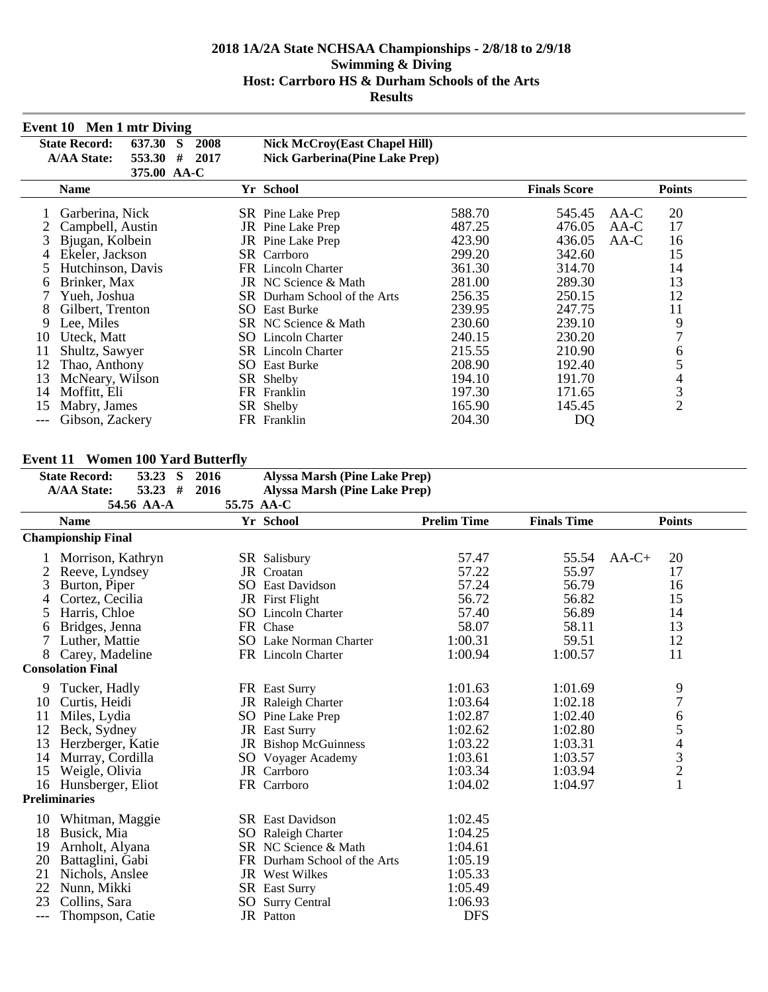|     | Event 10 Men 1 mtr Diving      |           |                                       |        |                     |                |
|-----|--------------------------------|-----------|---------------------------------------|--------|---------------------|----------------|
|     | <b>State Record:</b><br>637.30 | 2008<br>S | <b>Nick McCroy(East Chapel Hill)</b>  |        |                     |                |
|     | <b>A/AA State:</b><br>553.30   | 2017<br># | <b>Nick Garberina(Pine Lake Prep)</b> |        |                     |                |
|     | 375.00 AA-C                    |           |                                       |        |                     |                |
|     | Name                           |           | Yr School                             |        | <b>Finals Score</b> | <b>Points</b>  |
|     | Garberina, Nick                |           | SR Pine Lake Prep                     | 588.70 | 545.45              | 20<br>AA-C     |
|     | Campbell, Austin               |           | JR Pine Lake Prep                     | 487.25 | 476.05              | 17<br>AA-C     |
|     | Bjugan, Kolbein                |           | JR Pine Lake Prep                     | 423.90 | 436.05              | $AA-C$<br>16   |
|     | Ekeler, Jackson                |           | <b>SR</b> Carrboro                    | 299.20 | 342.60              | 15             |
| 5   | Hutchinson, Davis              |           | FR Lincoln Charter                    | 361.30 | 314.70              | 14             |
| 6   | Brinker, Max                   |           | JR NC Science & Math                  | 281.00 | 289.30              | 13             |
|     | Yueh, Joshua                   |           | SR Durham School of the Arts          | 256.35 | 250.15              | 12             |
| 8   | Gilbert, Trenton               | SO.       | <b>East Burke</b>                     | 239.95 | 247.75              | 11             |
| 9   | Lee, Miles                     |           | SR NC Science & Math                  | 230.60 | 239.10              | 9              |
| 10  | Uteck, Matt                    |           | <b>SO</b> Lincoln Charter             | 240.15 | 230.20              | 7              |
| 11  | Shultz, Sawyer                 |           | <b>SR</b> Lincoln Charter             | 215.55 | 210.90              | 6              |
| 12  | Thao, Anthony                  |           | <b>SO</b> East Burke                  | 208.90 | 192.40              | 5              |
| 13  | McNeary, Wilson                |           | SR Shelby                             | 194.10 | 191.70              | 4              |
| 14  | Moffitt, Eli                   |           | FR Franklin                           | 197.30 | 171.65              | 3              |
| 15  | Mabry, James                   |           | SR Shelby                             | 165.90 | 145.45              | $\mathfrak{2}$ |
| --- | Gibson, Zackery                |           | FR Franklin                           | 204.30 | DQ                  |                |

## **Event 11 Women 100 Yard Butterfly**

|                          | EVENT 11 WOMEN TOO FAIR DUIKING |            |  |      |                                      |                    |                    |                                                 |  |
|--------------------------|---------------------------------|------------|--|------|--------------------------------------|--------------------|--------------------|-------------------------------------------------|--|
|                          | <b>State Record:</b>            | 53.23 S    |  | 2016 | <b>Alyssa Marsh (Pine Lake Prep)</b> |                    |                    |                                                 |  |
|                          | <b>A/AA State:</b>              | $53.23$ #  |  | 2016 | <b>Alyssa Marsh (Pine Lake Prep)</b> |                    |                    |                                                 |  |
|                          |                                 | 54.56 AA-A |  |      | 55.75 AA-C                           |                    |                    |                                                 |  |
|                          | <b>Name</b>                     |            |  |      | Yr School                            | <b>Prelim Time</b> | <b>Finals Time</b> | <b>Points</b>                                   |  |
|                          | <b>Championship Final</b>       |            |  |      |                                      |                    |                    |                                                 |  |
|                          | Morrison, Kathryn               |            |  |      | <b>SR</b> Salisbury                  | 57.47              | 55.54              | 20<br>$AA-C+$                                   |  |
|                          | Reeve, Lyndsey                  |            |  |      | JR Croatan                           | 57.22              | 55.97              | 17                                              |  |
| 3                        | Burton, Piper                   |            |  |      | <b>SO</b> East Davidson              | 57.24              | 56.79              | 16                                              |  |
| 4                        | Cortez, Cecilia                 |            |  |      | JR First Flight                      | 56.72              | 56.82              | 15                                              |  |
| 5                        | Harris, Chloe                   |            |  |      | SO Lincoln Charter                   | 57.40              | 56.89              | 14                                              |  |
| 6                        | Bridges, Jenna                  |            |  |      | FR Chase                             | 58.07              | 58.11              | 13                                              |  |
|                          | Luther, Mattie                  |            |  |      | <b>SO</b> Lake Norman Charter        | 1:00.31            | 59.51              | 12                                              |  |
| 8                        | Carey, Madeline                 |            |  |      | FR Lincoln Charter                   | 1:00.94            | 1:00.57            | 11                                              |  |
| <b>Consolation Final</b> |                                 |            |  |      |                                      |                    |                    |                                                 |  |
| 9                        | Tucker, Hadly                   |            |  |      | FR East Surry                        | 1:01.63            | 1:01.69            | 9                                               |  |
| 10                       | Curtis, Heidi                   |            |  |      | JR Raleigh Charter                   | 1:03.64            | 1:02.18            | $\overline{7}$                                  |  |
| 11                       | Miles, Lydia                    |            |  |      | SO Pine Lake Prep                    | 1:02.87            | 1:02.40            | 6                                               |  |
| 12                       | Beck, Sydney                    |            |  |      | JR East Surry                        | 1:02.62            | 1:02.80            |                                                 |  |
| 13                       | Herzberger, Katie               |            |  |      | JR Bishop McGuinness                 | 1:03.22            | 1:03.31            | $\begin{array}{c} 5 \\ 4 \\ 3 \\ 2 \end{array}$ |  |
| 14                       | Murray, Cordilla                |            |  |      | SO Voyager Academy                   | 1:03.61            | 1:03.57            |                                                 |  |
| 15                       | Weigle, Olivia                  |            |  |      | JR Carrboro                          | 1:03.34            | 1:03.94            |                                                 |  |
| 16                       | Hunsberger, Eliot               |            |  |      | FR Carrboro                          | 1:04.02            | 1:04.97            | $\mathbf{1}$                                    |  |
|                          | <b>Preliminaries</b>            |            |  |      |                                      |                    |                    |                                                 |  |
| 10                       | Whitman, Maggie                 |            |  |      | <b>SR</b> East Davidson              | 1:02.45            |                    |                                                 |  |
| 18                       | Busick, Mia                     |            |  |      | SO Raleigh Charter                   | 1:04.25            |                    |                                                 |  |
| 19                       | Arnholt, Alyana                 |            |  |      | SR NC Science & Math                 | 1:04.61            |                    |                                                 |  |
| 20                       | Battaglini, Gabi                |            |  |      | FR Durham School of the Arts         | 1:05.19            |                    |                                                 |  |
| 21                       | Nichols, Anslee                 |            |  |      | <b>JR</b> West Wilkes                | 1:05.33            |                    |                                                 |  |
| 22                       | Nunn, Mikki                     |            |  |      | SR East Surry                        | 1:05.49            |                    |                                                 |  |
| 23                       | Collins, Sara                   |            |  |      | SO Surry Central                     | 1:06.93            |                    |                                                 |  |
| $---$                    | Thompson, Catie                 |            |  |      | JR Patton                            | <b>DFS</b>         |                    |                                                 |  |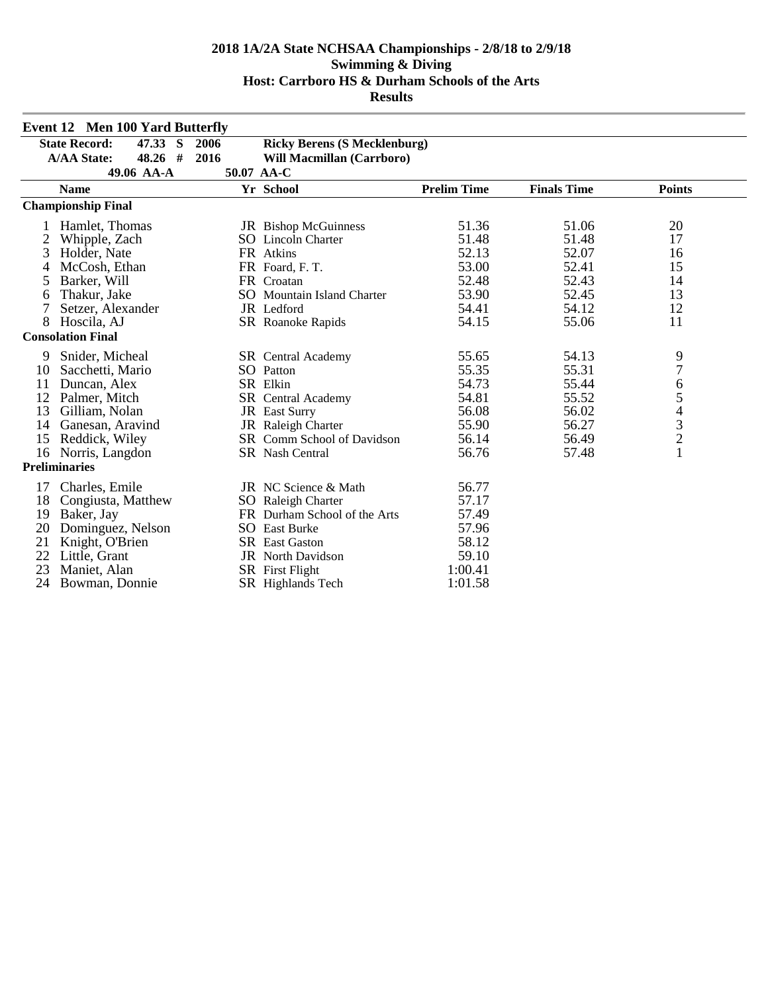|    | <b>Event 12 Men 100 Yard Butterfly</b> |      |                                     |                    |                    |                |  |  |  |
|----|----------------------------------------|------|-------------------------------------|--------------------|--------------------|----------------|--|--|--|
|    | 47.33 S<br><b>State Record:</b>        | 2006 | <b>Ricky Berens (S Mecklenburg)</b> |                    |                    |                |  |  |  |
|    | 48.26 #<br><b>A/AA State:</b>          | 2016 | <b>Will Macmillan (Carrboro)</b>    |                    |                    |                |  |  |  |
|    | 49.06 AA-A                             |      | 50.07 AA-C                          |                    |                    |                |  |  |  |
|    | <b>Name</b>                            |      | Yr School                           | <b>Prelim Time</b> | <b>Finals Time</b> | <b>Points</b>  |  |  |  |
|    | <b>Championship Final</b>              |      |                                     |                    |                    |                |  |  |  |
|    | Hamlet, Thomas                         |      | <b>JR</b> Bishop McGuinness         | 51.36              | 51.06              | 20             |  |  |  |
| 2  | Whipple, Zach                          |      | <b>SO</b> Lincoln Charter           | 51.48              | 51.48              | 17             |  |  |  |
| 3  | Holder, Nate                           |      | FR Atkins                           | 52.13              | 52.07              | 16             |  |  |  |
| 4  | McCosh, Ethan                          |      | FR Foard, F. T.                     | 53.00              | 52.41              | 15             |  |  |  |
| 5  | Barker, Will                           |      | FR Croatan                          | 52.48              | 52.43              | 14             |  |  |  |
| 6  | Thakur, Jake                           |      | SO Mountain Island Charter          | 53.90              | 52.45              | 13             |  |  |  |
| 7  | Setzer, Alexander                      |      | JR Ledford                          | 54.41              | 54.12              | 12             |  |  |  |
| 8  | Hoscila, AJ                            |      | SR Roanoke Rapids                   | 54.15              | 55.06              | 11             |  |  |  |
|    | <b>Consolation Final</b>               |      |                                     |                    |                    |                |  |  |  |
| 9  | Snider, Micheal                        |      | SR Central Academy                  | 55.65              | 54.13              | 9              |  |  |  |
| 10 | Sacchetti, Mario                       |      | SO Patton                           | 55.35              | 55.31              | $\overline{7}$ |  |  |  |
| 11 | Duncan, Alex                           |      | SR Elkin                            | 54.73              | 55.44              | 6              |  |  |  |
| 12 | Palmer, Mitch                          |      | <b>SR</b> Central Academy           | 54.81              | 55.52              | 54321          |  |  |  |
| 13 | Gilliam, Nolan                         |      | <b>JR</b> East Surry                | 56.08              | 56.02              |                |  |  |  |
| 14 | Ganesan, Aravind                       |      | JR Raleigh Charter                  | 55.90              | 56.27              |                |  |  |  |
| 15 | Reddick, Wiley                         |      | SR Comm School of Davidson          | 56.14              | 56.49              |                |  |  |  |
| 16 | Norris, Langdon                        |      | SR Nash Central                     | 56.76              | 57.48              |                |  |  |  |
|    | <b>Preliminaries</b>                   |      |                                     |                    |                    |                |  |  |  |
| 17 | Charles, Emile                         |      | JR NC Science & Math                | 56.77              |                    |                |  |  |  |
| 18 | Congiusta, Matthew                     |      | SO Raleigh Charter                  | 57.17              |                    |                |  |  |  |
| 19 | Baker, Jay                             |      | FR Durham School of the Arts        | 57.49              |                    |                |  |  |  |
| 20 | Dominguez, Nelson                      |      | <b>SO</b> East Burke                | 57.96              |                    |                |  |  |  |
| 21 | Knight, O'Brien                        |      | <b>SR</b> East Gaston               | 58.12              |                    |                |  |  |  |
| 22 | Little, Grant                          |      | <b>JR</b> North Davidson            | 59.10              |                    |                |  |  |  |
| 23 | Maniet, Alan                           |      | <b>SR</b> First Flight              | 1:00.41            |                    |                |  |  |  |
| 24 | Bowman, Donnie                         |      | <b>SR</b> Highlands Tech            | 1:01.58            |                    |                |  |  |  |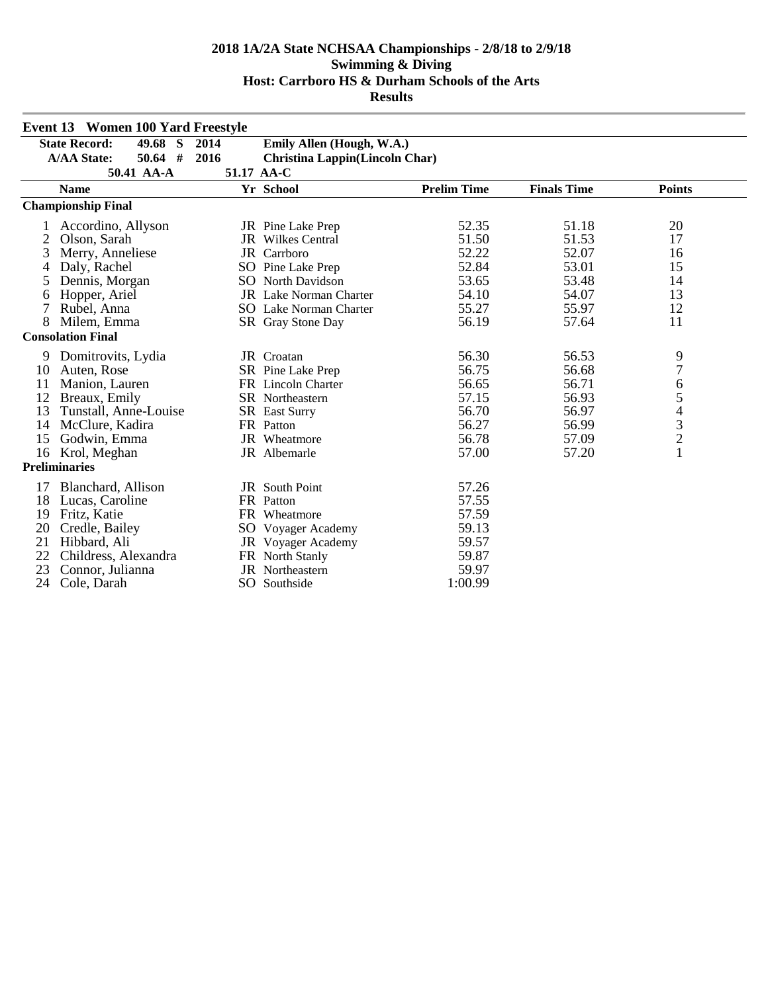|    | <b>Event 13 Women 100 Yard Freestyle</b> |      |                                       |                    |                    |                |  |  |
|----|------------------------------------------|------|---------------------------------------|--------------------|--------------------|----------------|--|--|
|    | <b>State Record:</b><br>49.68 S          | 2014 | Emily Allen (Hough, W.A.)             |                    |                    |                |  |  |
|    | <b>A/AA State:</b><br>$50.64$ #          | 2016 | <b>Christina Lappin(Lincoln Char)</b> |                    |                    |                |  |  |
|    | 50.41 AA-A<br>51.17 AA-C                 |      |                                       |                    |                    |                |  |  |
|    | <b>Name</b>                              |      | Yr School                             | <b>Prelim Time</b> | <b>Finals Time</b> | <b>Points</b>  |  |  |
|    | <b>Championship Final</b>                |      |                                       |                    |                    |                |  |  |
|    | Accordino, Allyson                       |      | JR Pine Lake Prep                     | 52.35              | 51.18              | 20             |  |  |
| 2  | Olson, Sarah                             |      | <b>JR</b> Wilkes Central              | 51.50              | 51.53              | 17             |  |  |
| 3  | Merry, Anneliese                         |      | JR Carrboro                           | 52.22              | 52.07              | 16             |  |  |
|    | Daly, Rachel                             |      | SO Pine Lake Prep                     | 52.84              | 53.01              | 15             |  |  |
| 5  | Dennis, Morgan                           |      | <b>SO</b> North Davidson              | 53.65              | 53.48              | 14             |  |  |
| 6  | Hopper, Ariel                            |      | JR Lake Norman Charter                | 54.10              | 54.07              | 13             |  |  |
| 7  | Rubel, Anna                              |      | <b>SO</b> Lake Norman Charter         | 55.27              | 55.97              | 12             |  |  |
| 8  | Milem, Emma                              |      | SR Gray Stone Day                     | 56.19              | 57.64              | 11             |  |  |
|    | <b>Consolation Final</b>                 |      |                                       |                    |                    |                |  |  |
| 9  | Domitrovits, Lydia                       |      | JR Croatan                            | 56.30              | 56.53              | 9              |  |  |
| 10 | Auten, Rose                              |      | SR Pine Lake Prep                     | 56.75              | 56.68              | $\overline{7}$ |  |  |
| 11 | Manion, Lauren                           |      | FR Lincoln Charter                    | 56.65              | 56.71              | 6              |  |  |
| 12 | Breaux, Emily                            |      | SR Northeastern                       | 57.15              | 56.93              |                |  |  |
| 13 | Tunstall, Anne-Louise                    |      | <b>SR</b> East Surry                  | 56.70              | 56.97              |                |  |  |
| 14 | McClure, Kadira                          |      | FR Patton                             | 56.27              | 56.99              |                |  |  |
| 15 | Godwin, Emma                             |      | <b>JR</b> Wheatmore                   | 56.78              | 57.09              | 54321          |  |  |
| 16 | Krol, Meghan                             |      | JR Albemarle                          | 57.00              | 57.20              |                |  |  |
|    | <b>Preliminaries</b>                     |      |                                       |                    |                    |                |  |  |
| 17 | Blanchard, Allison                       |      | JR South Point                        | 57.26              |                    |                |  |  |
| 18 | Lucas, Caroline                          |      | FR Patton                             | 57.55              |                    |                |  |  |
| 19 | Fritz, Katie                             |      | FR Wheatmore                          | 57.59              |                    |                |  |  |
| 20 | Credle, Bailey                           |      | SO Voyager Academy                    | 59.13              |                    |                |  |  |
| 21 | Hibbard, Ali                             |      | JR Voyager Academy                    | 59.57              |                    |                |  |  |
| 22 | Childress, Alexandra                     |      | FR North Stanly                       | 59.87              |                    |                |  |  |
| 23 | Connor, Julianna                         |      | <b>JR</b> Northeastern                | 59.97              |                    |                |  |  |
| 24 | Cole, Darah                              |      | SO Southside                          | 1:00.99            |                    |                |  |  |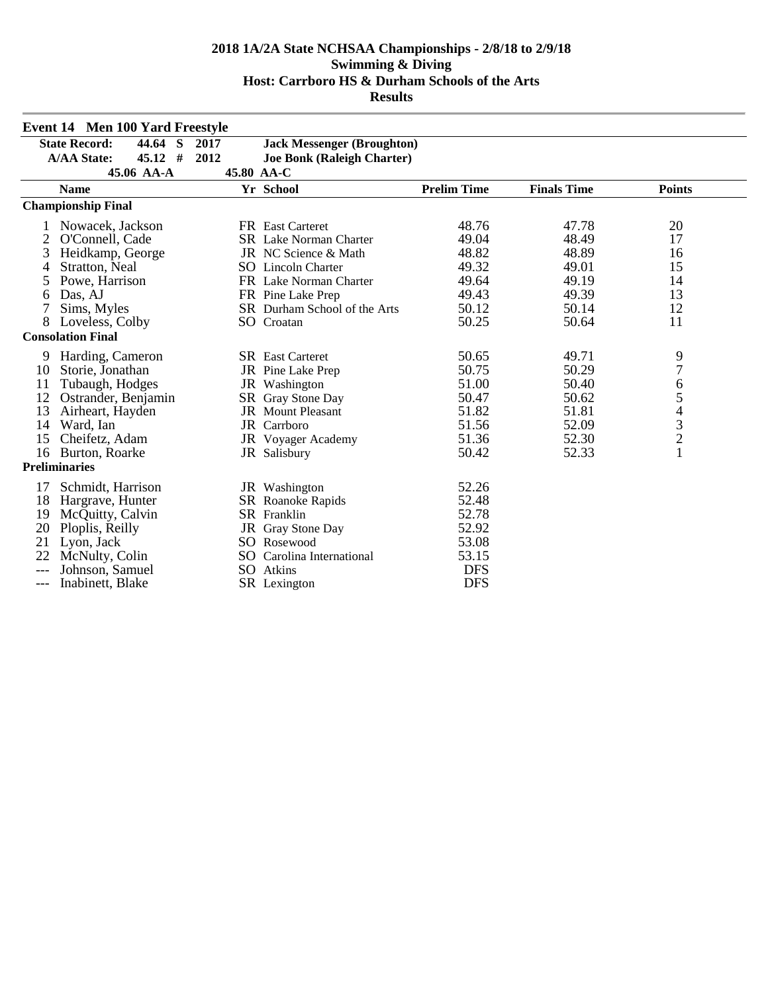|       | Event 14 Men 100 Yard Freestyle           |      |                                   |                    |                    |                                            |  |  |
|-------|-------------------------------------------|------|-----------------------------------|--------------------|--------------------|--------------------------------------------|--|--|
|       | <b>State Record:</b><br>44.64<br><b>S</b> | 2017 | <b>Jack Messenger (Broughton)</b> |                    |                    |                                            |  |  |
|       | $45.12$ #<br><b>A/AA State:</b>           | 2012 | <b>Joe Bonk (Raleigh Charter)</b> |                    |                    |                                            |  |  |
|       | 45.06 AA-A                                |      | 45.80 AA-C                        |                    |                    |                                            |  |  |
|       | <b>Name</b>                               |      | Yr School                         | <b>Prelim Time</b> | <b>Finals Time</b> | <b>Points</b>                              |  |  |
|       | <b>Championship Final</b>                 |      |                                   |                    |                    |                                            |  |  |
|       | Nowacek, Jackson                          |      | <b>FR</b> East Carteret           | 48.76              | 47.78              | 20                                         |  |  |
| 2     | O'Connell, Cade                           |      | <b>SR</b> Lake Norman Charter     | 49.04              | 48.49              | 17                                         |  |  |
| 3     | Heidkamp, George                          |      | JR NC Science & Math              | 48.82              | 48.89              | 16                                         |  |  |
| 4     | Stratton, Neal                            |      | <b>SO</b> Lincoln Charter         | 49.32              | 49.01              | 15                                         |  |  |
| 5     | Powe, Harrison                            |      | FR Lake Norman Charter            | 49.64              | 49.19              | 14                                         |  |  |
| 6     | Das, AJ                                   |      | FR Pine Lake Prep                 | 49.43              | 49.39              | 13                                         |  |  |
| 7     | Sims, Myles                               |      | SR Durham School of the Arts      | 50.12              | 50.14              | 12                                         |  |  |
| 8     | Loveless, Colby                           |      | SO Croatan                        | 50.25              | 50.64              | 11                                         |  |  |
|       | <b>Consolation Final</b>                  |      |                                   |                    |                    |                                            |  |  |
| 9     | Harding, Cameron                          |      | <b>SR</b> East Carteret           | 50.65              | 49.71              | 9                                          |  |  |
| 10    | Storie, Jonathan                          |      | JR Pine Lake Prep                 | 50.75              | 50.29              | $\overline{7}$                             |  |  |
| 11    | Tubaugh, Hodges                           |      | JR Washington                     | 51.00              | 50.40              | 6                                          |  |  |
| 12    | Ostrander, Benjamin                       |      | SR Gray Stone Day                 | 50.47              | 50.62              | 5                                          |  |  |
| 13    | Airheart, Hayden                          |      | <b>JR</b> Mount Pleasant          | 51.82              | 51.81              | $\begin{array}{c} 4 \\ 3 \\ 2 \end{array}$ |  |  |
| 14    | Ward, Ian                                 |      | JR Carrboro                       | 51.56              | 52.09              |                                            |  |  |
| 15    | Cheifetz, Adam                            |      | JR Voyager Academy                | 51.36              | 52.30              |                                            |  |  |
| 16    | Burton, Roarke                            |      | JR Salisbury                      | 50.42              | 52.33              | $\mathbf{1}$                               |  |  |
|       | <b>Preliminaries</b>                      |      |                                   |                    |                    |                                            |  |  |
| 17    | Schmidt, Harrison                         |      | JR Washington                     | 52.26              |                    |                                            |  |  |
| 18    | Hargrave, Hunter                          |      | SR Roanoke Rapids                 | 52.48              |                    |                                            |  |  |
| 19    | McQuitty, Calvin                          |      | SR Franklin                       | 52.78              |                    |                                            |  |  |
| 20    | Ploplis, Reilly                           |      | JR Gray Stone Day                 | 52.92              |                    |                                            |  |  |
| 21    | Lyon, Jack                                |      | SO Rosewood                       | 53.08              |                    |                                            |  |  |
| 22    | McNulty, Colin                            |      | SO Carolina International         | 53.15              |                    |                                            |  |  |
| $---$ | Johnson, Samuel                           |      | SO Atkins                         | <b>DFS</b>         |                    |                                            |  |  |
| ---   | Inabinett, Blake                          |      | SR Lexington                      | <b>DFS</b>         |                    |                                            |  |  |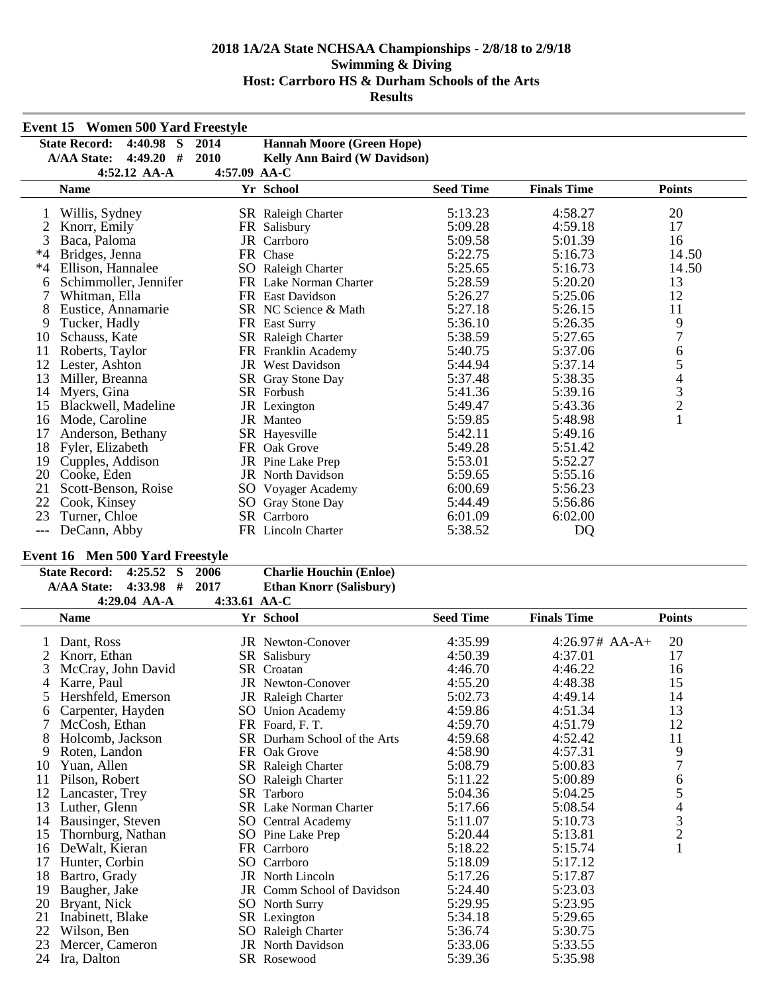|      | <b>Event 15 Women 500 Yard Freestyle</b> |      |                                     |                  |                    |                |  |  |
|------|------------------------------------------|------|-------------------------------------|------------------|--------------------|----------------|--|--|
|      | $4:40.98$ S<br><b>State Record:</b>      | 2014 | <b>Hannah Moore (Green Hope)</b>    |                  |                    |                |  |  |
|      | $4:49.20$ #<br><b>A/AA State:</b>        | 2010 | <b>Kelly Ann Baird (W Davidson)</b> |                  |                    |                |  |  |
|      | 4:57.09 AA-C<br>$4:52.12$ AA-A           |      |                                     |                  |                    |                |  |  |
|      | <b>Name</b>                              |      | Yr School                           | <b>Seed Time</b> | <b>Finals Time</b> | <b>Points</b>  |  |  |
| 1    | Willis, Sydney                           |      | SR Raleigh Charter                  | 5:13.23          | 4:58.27            | 20             |  |  |
|      | Knorr, Emily                             |      | FR Salisbury                        | 5:09.28          | 4:59.18            | 17             |  |  |
| 3    | Baca, Paloma                             |      | JR Carrboro                         | 5:09.58          | 5:01.39            | 16             |  |  |
| $*4$ | Bridges, Jenna                           |      | FR Chase                            | 5:22.75          | 5:16.73            | 14.50          |  |  |
| $*4$ | Ellison, Hannalee                        |      | SO Raleigh Charter                  | 5:25.65          | 5:16.73            | 14.50          |  |  |
| 6    | Schimmoller, Jennifer                    |      | FR Lake Norman Charter              | 5:28.59          | 5:20.20            | 13             |  |  |
|      | Whitman, Ella                            |      | FR East Davidson                    | 5:26.27          | 5:25.06            | 12             |  |  |
| 8    | Eustice, Annamarie                       |      | SR NC Science & Math                | 5:27.18          | 5:26.15            | 11             |  |  |
| 9    | Tucker, Hadly                            |      | FR East Surry                       | 5:36.10          | 5:26.35            | 9              |  |  |
| 10   | Schauss, Kate                            |      | SR Raleigh Charter                  | 5:38.59          | 5:27.65            | $\overline{7}$ |  |  |
| 11   | Roberts, Taylor                          |      | FR Franklin Academy                 | 5:40.75          | 5:37.06            | 6              |  |  |
| 12   | Lester, Ashton                           |      | <b>JR</b> West Davidson             | 5:44.94          | 5:37.14            | 5              |  |  |
| 13   | Miller, Breanna                          |      | SR Gray Stone Day                   | 5:37.48          | 5:38.35            | $\overline{4}$ |  |  |
| 14   | Myers, Gina                              |      | SR Forbush                          | 5:41.36          | 5:39.16            | $\frac{3}{2}$  |  |  |
| 15   | Blackwell, Madeline                      |      | JR Lexington                        | 5:49.47          | 5:43.36            |                |  |  |
| 16   | Mode, Caroline                           |      | JR Manteo                           | 5:59.85          | 5:48.98            | $\mathbf{1}$   |  |  |
| 17   | Anderson, Bethany                        |      | SR Hayesville                       | 5:42.11          | 5:49.16            |                |  |  |
| 18   | Fyler, Elizabeth                         |      | FR Oak Grove                        | 5:49.28          | 5:51.42            |                |  |  |
| 19   | Cupples, Addison                         |      | JR Pine Lake Prep                   | 5:53.01          | 5:52.27            |                |  |  |
| 20   | Cooke, Eden                              |      | <b>JR</b> North Davidson            | 5:59.65          | 5:55.16            |                |  |  |
| 21   | Scott-Benson, Roise                      |      | SO Voyager Academy                  | 6:00.69          | 5:56.23            |                |  |  |
| 22   | Cook, Kinsey                             | SO   | Gray Stone Day                      | 5:44.49          | 5:56.86            |                |  |  |
| 23   | Turner, Chloe                            |      | SR Carrboro                         | 6:01.09          | 6:02.00            |                |  |  |
| ---  | DeCann, Abby                             |      | FR Lincoln Charter                  | 5:38.52          | DQ                 |                |  |  |

## **Event 16 Men 500 Yard Freestyle**

| State Record: 4:25.52 S 2006 |                   |                                    | <b>Charlie Houchin (Enloe)</b> |
|------------------------------|-------------------|------------------------------------|--------------------------------|
| $A/AA$ State: 4:33.98 # 2017 |                   |                                    | <b>Ethan Knorr (Salisbury)</b> |
|                              | $A.20.04 \pm 1.1$ | $\sim$ 4.22 $\sim$ 1 $\sim$ $\sim$ |                                |

|    | 4:29.04 AA-A       | 4:33.61 AA-C |                               |                  |                    |                         |
|----|--------------------|--------------|-------------------------------|------------------|--------------------|-------------------------|
|    | <b>Name</b>        |              | Yr School                     | <b>Seed Time</b> | <b>Finals Time</b> | <b>Points</b>           |
|    | Dant, Ross         |              | <b>JR</b> Newton-Conover      | 4:35.99          | $4:26.97# AA-A+$   | 20                      |
|    | Knorr, Ethan       |              | SR Salisbury                  | 4:50.39          | 4:37.01            | 17                      |
| 3  | McCray, John David |              | SR Croatan                    | 4:46.70          | 4:46.22            | 16                      |
| 4  | Karre, Paul        |              | <b>JR</b> Newton-Conover      | 4:55.20          | 4:48.38            | 15                      |
| 5  | Hershfeld, Emerson |              | JR Raleigh Charter            | 5:02.73          | 4:49.14            | 14                      |
| 6  | Carpenter, Hayden  |              | SO Union Academy              | 4:59.86          | 4:51.34            | 13                      |
|    | McCosh, Ethan      |              | FR Foard, F.T.                | 4:59.70          | 4:51.79            | 12                      |
| 8  | Holcomb, Jackson   |              | SR Durham School of the Arts  | 4:59.68          | 4:52.42            | 11                      |
| 9  | Roten, Landon      |              | FR Oak Grove                  | 4:58.90          | 4:57.31            | 9                       |
| 10 | Yuan, Allen        |              | SR Raleigh Charter            | 5:08.79          | 5:00.83            | $\overline{7}$          |
| 11 | Pilson, Robert     |              | SO Raleigh Charter            | 5:11.22          | 5:00.89            | 6                       |
| 12 | Lancaster, Trey    |              | SR Tarboro                    | 5:04.36          | 5:04.25            | 5                       |
| 13 | Luther, Glenn      |              | <b>SR</b> Lake Norman Charter | 5:17.66          | 5:08.54            | $\overline{4}$          |
| 14 | Bausinger, Steven  |              | SO Central Academy            | 5:11.07          | 5:10.73            | $\overline{\mathbf{3}}$ |
| 15 | Thornburg, Nathan  |              | SO Pine Lake Prep             | 5:20.44          | 5:13.81            | $\overline{c}$          |
| 16 | DeWalt, Kieran     |              | FR Carrboro                   | 5:18.22          | 5:15.74            |                         |
| 17 | Hunter, Corbin     |              | SO Carrboro                   | 5:18.09          | 5:17.12            |                         |
| 18 | Bartro, Grady      |              | JR North Lincoln              | 5:17.26          | 5:17.87            |                         |
| 19 | Baugher, Jake      |              | JR Comm School of Davidson    | 5:24.40          | 5:23.03            |                         |
| 20 | Bryant, Nick       |              | <b>SO</b> North Surry         | 5:29.95          | 5:23.95            |                         |
| 21 | Inabinett, Blake   |              | SR Lexington                  | 5:34.18          | 5:29.65            |                         |
| 22 | Wilson, Ben        |              | SO Raleigh Charter            | 5:36.74          | 5:30.75            |                         |
| 23 | Mercer, Cameron    |              | <b>JR</b> North Davidson      | 5:33.06          | 5:33.55            |                         |
| 24 | Ira, Dalton        |              | SR Rosewood                   | 5:39.36          | 5:35.98            |                         |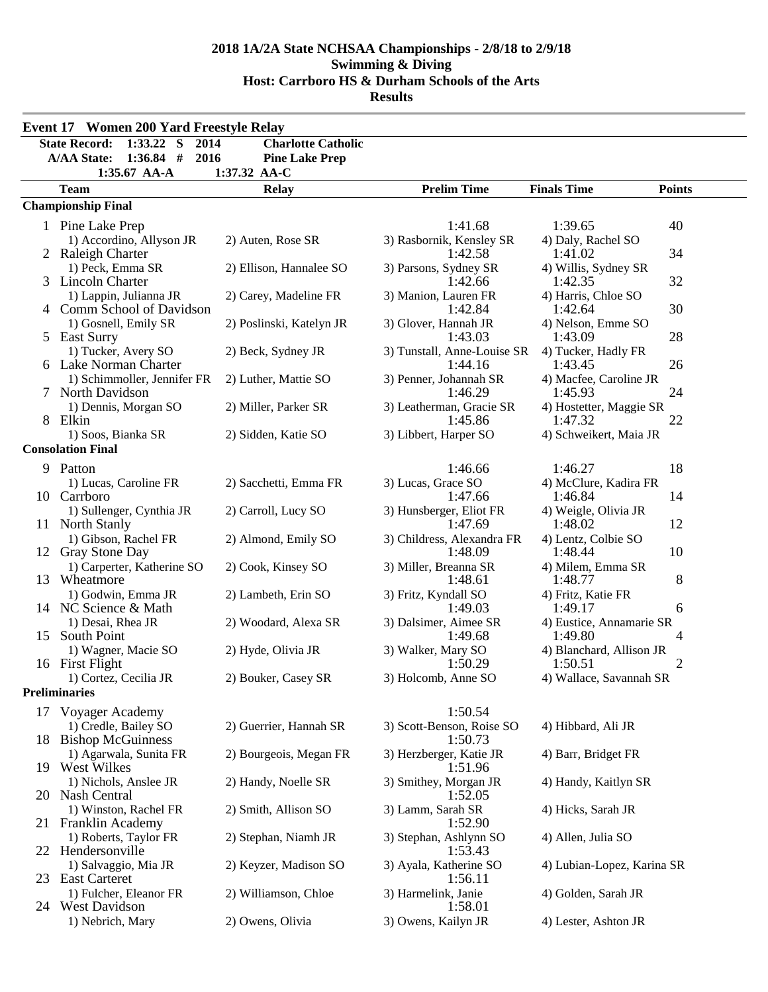|    | <b>Event 17 Women 200 Yard Freestyle Relay</b>      |                           |                                  |                                     |               |  |  |
|----|-----------------------------------------------------|---------------------------|----------------------------------|-------------------------------------|---------------|--|--|
|    | <b>State Record:</b><br>$1:33.22$ S<br>2014         | <b>Charlotte Catholic</b> |                                  |                                     |               |  |  |
|    | $1:36.84$ #<br>2016<br><b>A/AA State:</b>           | <b>Pine Lake Prep</b>     |                                  |                                     |               |  |  |
|    | $1:35.67$ AA-A                                      | 1:37.32 AA-C              |                                  |                                     |               |  |  |
|    | <b>Team</b>                                         | <b>Relay</b>              | <b>Prelim Time</b>               | <b>Finals Time</b>                  | <b>Points</b> |  |  |
|    | <b>Championship Final</b>                           |                           |                                  |                                     |               |  |  |
|    | 1 Pine Lake Prep                                    |                           | 1:41.68                          | 1:39.65                             | 40            |  |  |
|    | 1) Accordino, Allyson JR                            | 2) Auten, Rose SR         | 3) Rasbornik, Kensley SR         | 4) Daly, Rachel SO                  |               |  |  |
|    | 2 Raleigh Charter                                   |                           | 1:42.58                          | 1:41.02                             | 34            |  |  |
|    | 1) Peck, Emma SR                                    | 2) Ellison, Hannalee SO   | 3) Parsons, Sydney SR            | 4) Willis, Sydney SR                |               |  |  |
|    | 3 Lincoln Charter                                   |                           | 1:42.66                          | 1:42.35                             | 32            |  |  |
|    | 1) Lappin, Julianna JR<br>4 Comm School of Davidson | 2) Carey, Madeline FR     | 3) Manion, Lauren FR<br>1:42.84  | 4) Harris, Chloe SO<br>1:42.64      | 30            |  |  |
|    | 1) Gosnell, Emily SR                                | 2) Poslinski, Katelyn JR  | 3) Glover, Hannah JR             | 4) Nelson, Emme SO                  |               |  |  |
|    | 5 East Surry                                        |                           | 1:43.03                          | 1:43.09                             | 28            |  |  |
|    | 1) Tucker, Avery SO                                 | 2) Beck, Sydney JR        | 3) Tunstall, Anne-Louise SR      | 4) Tucker, Hadly FR                 |               |  |  |
|    | 6 Lake Norman Charter                               |                           | 1:44.16                          | 1:43.45                             | 26            |  |  |
|    | 1) Schimmoller, Jennifer FR                         | 2) Luther, Mattie SO      | 3) Penner, Johannah SR           | 4) Macfee, Caroline JR              |               |  |  |
|    | 7 North Davidson                                    |                           | 1:46.29                          | 1:45.93                             | 24            |  |  |
|    | 1) Dennis, Morgan SO                                | 2) Miller, Parker SR      | 3) Leatherman, Gracie SR         | 4) Hostetter, Maggie SR             |               |  |  |
|    | 8 Elkin                                             |                           | 1:45.86                          | 1:47.32                             | 22            |  |  |
|    | 1) Soos, Bianka SR<br><b>Consolation Final</b>      | 2) Sidden, Katie SO       | 3) Libbert, Harper SO            | 4) Schweikert, Maia JR              |               |  |  |
|    |                                                     |                           |                                  |                                     |               |  |  |
| 9  | Patton                                              |                           | 1:46.66                          | 1:46.27                             | 18            |  |  |
|    | 1) Lucas, Caroline FR<br>10 Carrboro                | 2) Sacchetti, Emma FR     | 3) Lucas, Grace SO<br>1:47.66    | 4) McClure, Kadira FR<br>1:46.84    | 14            |  |  |
|    | 1) Sullenger, Cynthia JR                            | 2) Carroll, Lucy SO       | 3) Hunsberger, Eliot FR          | 4) Weigle, Olivia JR                |               |  |  |
|    | 11 North Stanly                                     |                           | 1:47.69                          | 1:48.02                             | 12            |  |  |
|    | 1) Gibson, Rachel FR                                | 2) Almond, Emily SO       | 3) Childress, Alexandra FR       | 4) Lentz, Colbie SO                 |               |  |  |
|    | 12 Gray Stone Day                                   |                           | 1:48.09                          | 1:48.44                             | 10            |  |  |
|    | 1) Carperter, Katherine SO                          | 2) Cook, Kinsey SO        | 3) Miller, Breanna SR            | 4) Milem, Emma SR                   |               |  |  |
|    | 13 Wheatmore                                        |                           | 1:48.61                          | 1:48.77                             | 8             |  |  |
|    | 1) Godwin, Emma JR                                  | 2) Lambeth, Erin SO       | 3) Fritz, Kyndall SO             | 4) Fritz, Katie FR                  |               |  |  |
|    | 14 NC Science & Math                                | 2) Woodard, Alexa SR      | 1:49.03<br>3) Dalsimer, Aimee SR | 1:49.17<br>4) Eustice, Annamarie SR | 6             |  |  |
| 15 | 1) Desai, Rhea JR<br>South Point                    |                           | 1:49.68                          | 1:49.80                             | 4             |  |  |
|    | 1) Wagner, Macie SO                                 | 2) Hyde, Olivia JR        | 3) Walker, Mary SO               | 4) Blanchard, Allison JR            |               |  |  |
|    | 16 First Flight                                     |                           | 1:50.29                          | 1:50.51                             | 2             |  |  |
|    | 1) Cortez, Cecilia JR                               | 2) Bouker, Casey SR       | 3) Holcomb, Anne SO              | 4) Wallace, Savannah SR             |               |  |  |
|    | <b>Preliminaries</b>                                |                           |                                  |                                     |               |  |  |
|    | 17 Voyager Academy                                  |                           | 1:50.54                          |                                     |               |  |  |
|    | 1) Credle, Bailey SO                                | 2) Guerrier, Hannah SR    | 3) Scott-Benson, Roise SO        | 4) Hibbard, Ali JR                  |               |  |  |
|    | 18 Bishop McGuinness                                |                           | 1:50.73                          |                                     |               |  |  |
|    | 1) Agarwala, Sunita FR                              | 2) Bourgeois, Megan FR    | 3) Herzberger, Katie JR          | 4) Barr, Bridget FR                 |               |  |  |
|    | 19 West Wilkes                                      |                           | 1:51.96                          |                                     |               |  |  |
|    | 1) Nichols, Anslee JR<br>20 Nash Central            | 2) Handy, Noelle SR       | 3) Smithey, Morgan JR<br>1:52.05 | 4) Handy, Kaitlyn SR                |               |  |  |
|    | 1) Winston, Rachel FR                               | 2) Smith, Allison SO      | 3) Lamm, Sarah SR                | 4) Hicks, Sarah JR                  |               |  |  |
|    | 21 Franklin Academy                                 |                           | 1:52.90                          |                                     |               |  |  |
|    | 1) Roberts, Taylor FR                               | 2) Stephan, Niamh JR      | 3) Stephan, Ashlynn SO           | 4) Allen, Julia SO                  |               |  |  |
|    | 22 Hendersonville                                   |                           | 1:53.43                          |                                     |               |  |  |
|    | 1) Salvaggio, Mia JR                                | 2) Keyzer, Madison SO     | 3) Ayala, Katherine SO           | 4) Lubian-Lopez, Karina SR          |               |  |  |
|    | 23 East Carteret                                    |                           | 1:56.11                          |                                     |               |  |  |
|    | 1) Fulcher, Eleanor FR                              | 2) Williamson, Chloe      | 3) Harmelink, Janie              | 4) Golden, Sarah JR                 |               |  |  |
|    | 24 West Davidson                                    |                           | 1:58.01                          |                                     |               |  |  |
|    | 1) Nebrich, Mary                                    | 2) Owens, Olivia          | 3) Owens, Kailyn JR              | 4) Lester, Ashton JR                |               |  |  |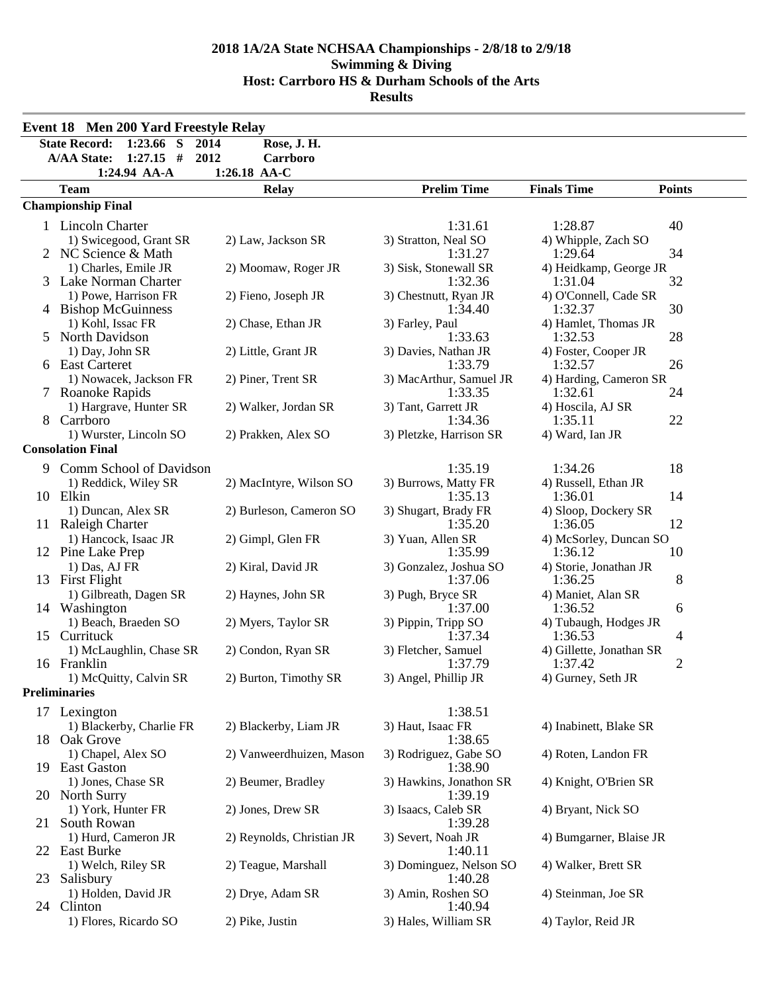|               | <b>Event 18 Men 200 Yard Freestyle Relay</b>                             |                                         |                         |                          |               |
|---------------|--------------------------------------------------------------------------|-----------------------------------------|-------------------------|--------------------------|---------------|
|               | <b>State Record:</b><br>$1:23.66$ S<br>$1:27.15$ #<br><b>A/AA State:</b> | Rose, J. H.<br>2014<br>2012<br>Carrboro |                         |                          |               |
|               | 1:24.94 AA-A                                                             | 1:26.18 AA-C                            |                         |                          |               |
|               | <b>Team</b>                                                              | <b>Relay</b>                            | <b>Prelim Time</b>      | <b>Finals Time</b>       | <b>Points</b> |
|               | <b>Championship Final</b>                                                |                                         |                         |                          |               |
|               | 1 Lincoln Charter                                                        |                                         | 1:31.61                 | 1:28.87                  | 40            |
|               | 1) Swicegood, Grant SR                                                   | 2) Law, Jackson SR                      | 3) Stratton, Neal SO    | 4) Whipple, Zach SO      |               |
|               | 2 NC Science & Math                                                      |                                         | 1:31.27                 | 1:29.64                  | 34            |
|               | 1) Charles, Emile JR                                                     | 2) Moomaw, Roger JR                     | 3) Sisk, Stonewall SR   | 4) Heidkamp, George JR   |               |
|               | 3 Lake Norman Charter                                                    |                                         | 1:32.36                 | 1:31.04                  | 32            |
|               | 1) Powe, Harrison FR                                                     | 2) Fieno, Joseph JR                     | 3) Chestnutt, Ryan JR   | 4) O'Connell, Cade SR    |               |
|               | 4 Bishop McGuinness                                                      |                                         | 1:34.40                 | 1:32.37                  | 30            |
|               | 1) Kohl, Issac FR                                                        | 2) Chase, Ethan JR                      | 3) Farley, Paul         | 4) Hamlet, Thomas JR     |               |
| $\mathcal{D}$ | North Davidson                                                           |                                         | 1:33.63                 | 1:32.53                  | 28            |
|               | 1) Day, John SR                                                          | 2) Little, Grant JR                     | 3) Davies, Nathan JR    | 4) Foster, Cooper JR     |               |
|               | 6 East Carteret                                                          |                                         | 1:33.79                 | 1:32.57                  | 26            |
|               | 1) Nowacek, Jackson FR                                                   | 2) Piner, Trent SR                      | 3) MacArthur, Samuel JR | 4) Harding, Cameron SR   |               |
|               | 7 Roanoke Rapids                                                         |                                         | 1:33.35                 | 1:32.61                  | 24            |
|               | 1) Hargrave, Hunter SR                                                   | 2) Walker, Jordan SR                    | 3) Tant, Garrett JR     | 4) Hoscila, AJ SR        |               |
|               | 8 Carrboro                                                               |                                         | 1:34.36                 | 1:35.11                  | 22            |
|               |                                                                          |                                         | 3) Pletzke, Harrison SR |                          |               |
|               | 1) Wurster, Lincoln SO                                                   | 2) Prakken, Alex SO                     |                         | 4) Ward, Ian JR          |               |
|               | <b>Consolation Final</b>                                                 |                                         |                         |                          |               |
| 9             | Comm School of Davidson                                                  |                                         | 1:35.19                 | 1:34.26                  | 18            |
|               | 1) Reddick, Wiley SR                                                     | 2) MacIntyre, Wilson SO                 | 3) Burrows, Matty FR    | 4) Russell, Ethan JR     |               |
|               | 10 Elkin                                                                 |                                         | 1:35.13                 | 1:36.01                  | 14            |
|               | 1) Duncan, Alex SR                                                       | 2) Burleson, Cameron SO                 | 3) Shugart, Brady FR    | 4) Sloop, Dockery SR     |               |
|               | 11 Raleigh Charter                                                       |                                         | 1:35.20                 | 1:36.05                  | 12            |
|               | 1) Hancock, Isaac JR                                                     | 2) Gimpl, Glen FR                       | 3) Yuan, Allen SR       | 4) McSorley, Duncan SO   |               |
|               | 12 Pine Lake Prep                                                        |                                         | 1:35.99                 | 1:36.12                  | 10            |
|               | 1) Das, AJ FR                                                            | 2) Kiral, David JR                      | 3) Gonzalez, Joshua SO  | 4) Storie, Jonathan JR   |               |
|               | 13 First Flight                                                          |                                         | 1:37.06                 | 1:36.25                  | 8             |
|               | 1) Gilbreath, Dagen SR                                                   | 2) Haynes, John SR                      | 3) Pugh, Bryce SR       | 4) Maniet, Alan SR       |               |
|               | 14 Washington                                                            |                                         | 1:37.00                 | 1:36.52                  | 6             |
|               | 1) Beach, Braeden SO                                                     | 2) Myers, Taylor SR                     | 3) Pippin, Tripp SO     | 4) Tubaugh, Hodges JR    |               |
|               | 15 Currituck                                                             |                                         | 1:37.34                 | 1:36.53                  | 4             |
|               | 1) McLaughlin, Chase SR                                                  | 2) Condon, Ryan SR                      | 3) Fletcher, Samuel     | 4) Gillette, Jonathan SR |               |
|               | 16 Franklin                                                              |                                         | 1:37.79                 | 1:37.42                  | 2             |
|               | 1) McQuitty, Calvin SR                                                   | 2) Burton, Timothy SR                   | 3) Angel, Phillip JR    | 4) Gurney, Seth JR       |               |
|               | <b>Preliminaries</b>                                                     |                                         |                         |                          |               |
|               |                                                                          |                                         |                         |                          |               |
|               | 17 Lexington                                                             |                                         | 1:38.51                 |                          |               |
|               | 1) Blackerby, Charlie FR                                                 | 2) Blackerby, Liam JR                   | 3) Haut, Isaac FR       | 4) Inabinett, Blake SR   |               |
|               | 18 Oak Grove                                                             |                                         | 1:38.65                 |                          |               |
|               | 1) Chapel, Alex SO                                                       | 2) Vanweerdhuizen, Mason                | 3) Rodriguez, Gabe SO   | 4) Roten, Landon FR      |               |
|               | 19 East Gaston                                                           |                                         | 1:38.90                 |                          |               |
|               | 1) Jones, Chase SR                                                       | 2) Beumer, Bradley                      | 3) Hawkins, Jonathon SR | 4) Knight, O'Brien SR    |               |
|               | 20 North Surry                                                           |                                         | 1:39.19                 |                          |               |
|               | 1) York, Hunter FR                                                       | 2) Jones, Drew SR                       | 3) Isaacs, Caleb SR     | 4) Bryant, Nick SO       |               |
| 21            | South Rowan                                                              |                                         | 1:39.28                 |                          |               |
|               | 1) Hurd, Cameron JR                                                      | 2) Reynolds, Christian JR               | 3) Severt, Noah JR      | 4) Bumgarner, Blaise JR  |               |
|               | 22 East Burke                                                            |                                         | 1:40.11                 |                          |               |
|               | 1) Welch, Riley SR                                                       | 2) Teague, Marshall                     | 3) Dominguez, Nelson SO | 4) Walker, Brett SR      |               |
| 23            | Salisbury                                                                |                                         | 1:40.28                 |                          |               |
|               | 1) Holden, David JR                                                      | 2) Drye, Adam SR                        | 3) Amin, Roshen SO      | 4) Steinman, Joe SR      |               |
|               | 24 Clinton                                                               |                                         | 1:40.94                 |                          |               |
|               | 1) Flores, Ricardo SO                                                    | 2) Pike, Justin                         | 3) Hales, William SR    | 4) Taylor, Reid JR       |               |
|               |                                                                          |                                         |                         |                          |               |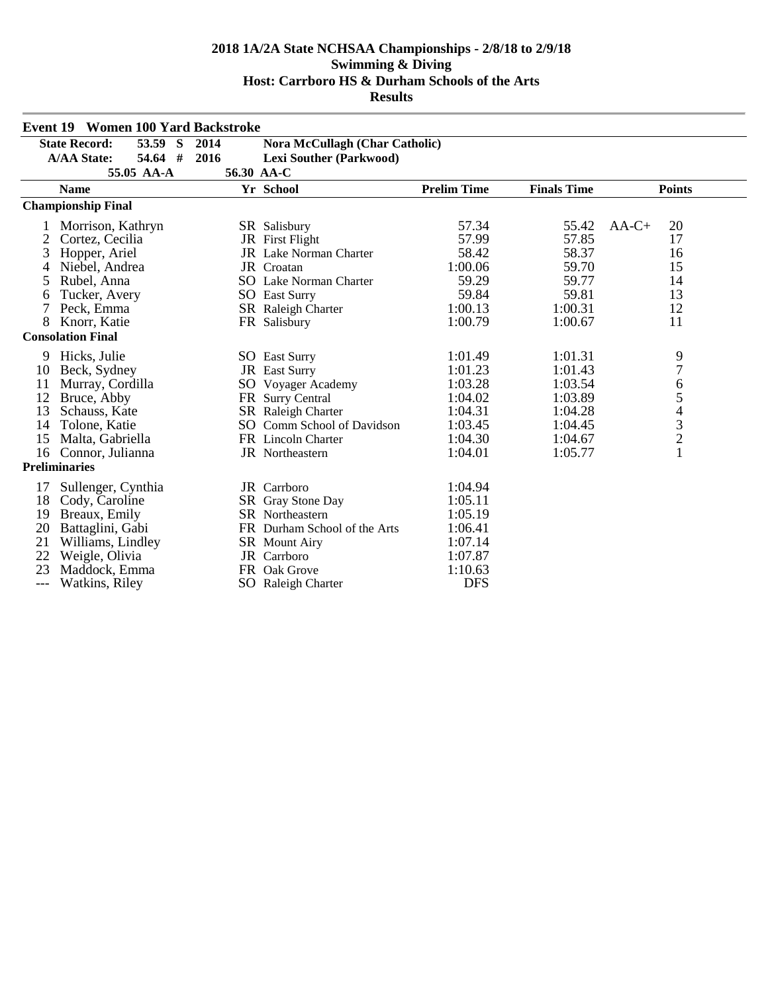|       | <b>Event 19 Women 100 Yard Backstroke</b> |      |                                       |                    |                    |                                            |  |  |  |
|-------|-------------------------------------------|------|---------------------------------------|--------------------|--------------------|--------------------------------------------|--|--|--|
|       | 53.59 S<br><b>State Record:</b>           | 2014 | <b>Nora McCullagh (Char Catholic)</b> |                    |                    |                                            |  |  |  |
|       | 54.64 #<br><b>A/AA State:</b>             | 2016 | <b>Lexi Souther (Parkwood)</b>        |                    |                    |                                            |  |  |  |
|       | 55.05 AA-A                                |      | 56.30 AA-C                            |                    |                    |                                            |  |  |  |
|       | <b>Name</b>                               |      | Yr School                             | <b>Prelim Time</b> | <b>Finals Time</b> | <b>Points</b>                              |  |  |  |
|       | <b>Championship Final</b>                 |      |                                       |                    |                    |                                            |  |  |  |
|       | Morrison, Kathryn                         |      | SR Salisbury                          | 57.34              | 55.42              | $AA-C+$<br>20                              |  |  |  |
|       | Cortez, Cecilia                           |      | JR First Flight                       | 57.99              | 57.85              | 17                                         |  |  |  |
| 3     | Hopper, Ariel                             |      | JR Lake Norman Charter                | 58.42              | 58.37              | 16                                         |  |  |  |
|       | Niebel, Andrea                            |      | JR Croatan                            | 1:00.06            | 59.70              | 15                                         |  |  |  |
| 5     | Rubel, Anna                               |      | <b>SO</b> Lake Norman Charter         | 59.29              | 59.77              | 14                                         |  |  |  |
| 6     | Tucker, Avery                             |      | <b>SO</b> East Surry                  | 59.84              | 59.81              | 13                                         |  |  |  |
| 7     | Peck, Emma                                |      | SR Raleigh Charter                    | 1:00.13            | 1:00.31            | 12                                         |  |  |  |
| 8     | Knorr, Katie                              |      | FR Salisbury                          | 1:00.79            | 1:00.67            | 11                                         |  |  |  |
|       | <b>Consolation Final</b>                  |      |                                       |                    |                    |                                            |  |  |  |
| 9     | Hicks, Julie                              |      | <b>SO</b> East Surry                  | 1:01.49            | 1:01.31            | 9                                          |  |  |  |
| 10    | Beck, Sydney                              |      | JR East Surry                         | 1:01.23            | 1:01.43            | $\overline{7}$                             |  |  |  |
| 11    | Murray, Cordilla                          |      | SO Voyager Academy                    | 1:03.28            | 1:03.54            | 6                                          |  |  |  |
| 12    | Bruce, Abby                               |      | FR Surry Central                      | 1:04.02            | 1:03.89            | 5                                          |  |  |  |
| 13    | Schauss, Kate                             |      | SR Raleigh Charter                    | 1:04.31            | 1:04.28            |                                            |  |  |  |
| 14    | Tolone, Katie                             |      | SO Comm School of Davidson            | 1:03.45            | 1:04.45            | $\begin{array}{c} 4 \\ 3 \\ 2 \end{array}$ |  |  |  |
| 15    | Malta, Gabriella                          |      | FR Lincoln Charter                    | 1:04.30            | 1:04.67            |                                            |  |  |  |
| 16    | Connor, Julianna                          |      | <b>JR</b> Northeastern                | 1:04.01            | 1:05.77            | $\mathbf{1}$                               |  |  |  |
|       | <b>Preliminaries</b>                      |      |                                       |                    |                    |                                            |  |  |  |
| 17    | Sullenger, Cynthia                        |      | JR Carrboro                           | 1:04.94            |                    |                                            |  |  |  |
| 18    | Cody, Caroline                            |      | SR Gray Stone Day                     | 1:05.11            |                    |                                            |  |  |  |
| 19    | Breaux, Emily                             |      | SR Northeastern                       | 1:05.19            |                    |                                            |  |  |  |
| 20    | Battaglini, Gabi                          |      | FR Durham School of the Arts          | 1:06.41            |                    |                                            |  |  |  |
| 21    | Williams, Lindley                         |      | SR Mount Airy                         | 1:07.14            |                    |                                            |  |  |  |
| 22    | Weigle, Olivia                            |      | JR Carrboro                           | 1:07.87            |                    |                                            |  |  |  |
| 23    | Maddock, Emma                             |      | FR Oak Grove                          | 1:10.63            |                    |                                            |  |  |  |
| $---$ | Watkins, Riley                            |      | SO Raleigh Charter                    | <b>DFS</b>         |                    |                                            |  |  |  |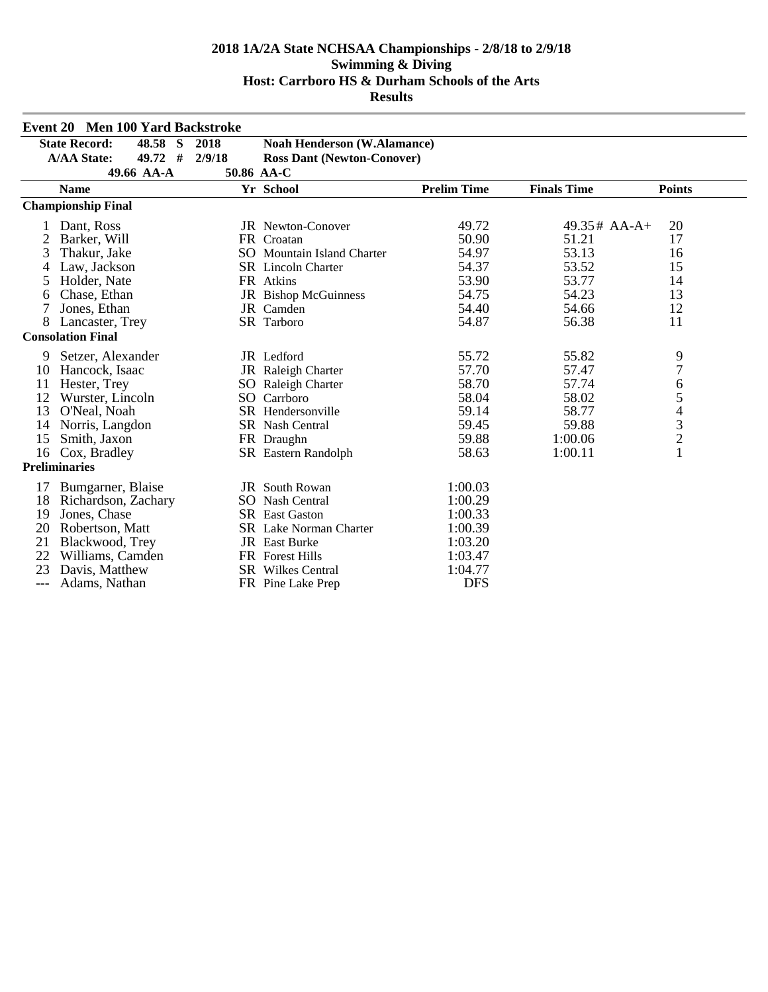| <b>Event 20 Men 100 Yard Backstroke</b> |                           |                                   |                                    |                    |                    |                          |
|-----------------------------------------|---------------------------|-----------------------------------|------------------------------------|--------------------|--------------------|--------------------------|
| <b>State Record:</b><br>48.58 S<br>2018 |                           |                                   | <b>Noah Henderson (W.Alamance)</b> |                    |                    |                          |
| 49.72 #<br><b>A/AA State:</b><br>2/9/18 |                           | <b>Ross Dant (Newton-Conover)</b> |                                    |                    |                    |                          |
|                                         | 49.66 AA-A                |                                   | 50.86 AA-C                         |                    |                    |                          |
|                                         | <b>Name</b>               |                                   | Yr School                          | <b>Prelim Time</b> | <b>Finals Time</b> | <b>Points</b>            |
|                                         | <b>Championship Final</b> |                                   |                                    |                    |                    |                          |
|                                         | Dant, Ross                |                                   | <b>JR</b> Newton-Conover           | 49.72              | $49.35#$ AA-A+     | 20                       |
| 2                                       | Barker, Will              |                                   | FR Croatan                         | 50.90              | 51.21              | 17                       |
| 3                                       | Thakur, Jake              |                                   | SO Mountain Island Charter         | 54.97              | 53.13              | 16                       |
|                                         | Law, Jackson              |                                   | <b>SR</b> Lincoln Charter          | 54.37              | 53.52              | 15                       |
| 5                                       | Holder, Nate              |                                   | FR Atkins                          | 53.90              | 53.77              | 14                       |
| 6                                       | Chase, Ethan              |                                   | <b>JR</b> Bishop McGuinness        | 54.75              | 54.23              | 13                       |
|                                         | Jones, Ethan              |                                   | JR Camden                          | 54.40              | 54.66              | 12                       |
| 8                                       | Lancaster, Trey           |                                   | SR Tarboro                         | 54.87              | 56.38              | 11                       |
|                                         | <b>Consolation Final</b>  |                                   |                                    |                    |                    |                          |
| 9                                       | Setzer, Alexander         |                                   | JR Ledford                         | 55.72              | 55.82              | 9                        |
| 10                                      | Hancock, Isaac            |                                   | JR Raleigh Charter                 | 57.70              | 57.47              | $\overline{7}$           |
| 11                                      | Hester, Trey              |                                   | SO Raleigh Charter                 | 58.70              | 57.74              | 6                        |
| 12                                      | Wurster, Lincoln          |                                   | SO Carrboro                        | 58.04              | 58.02              | 5                        |
| 13                                      | O'Neal, Noah              |                                   | <b>SR</b> Hendersonville           | 59.14              | 58.77              | $\overline{\mathcal{L}}$ |
| 14                                      | Norris, Langdon           |                                   | <b>SR</b> Nash Central             | 59.45              | 59.88              | $\frac{3}{2}$            |
| 15                                      | Smith, Jaxon              |                                   | FR Draughn                         | 59.88              | 1:00.06            |                          |
| 16                                      | Cox, Bradley              |                                   | SR Eastern Randolph                | 58.63              | 1:00.11            | $\mathbf{1}$             |
|                                         | <b>Preliminaries</b>      |                                   |                                    |                    |                    |                          |
| 17                                      | Bumgarner, Blaise         |                                   | JR South Rowan                     | 1:00.03            |                    |                          |
| 18                                      | Richardson, Zachary       |                                   | <b>SO</b> Nash Central             | 1:00.29            |                    |                          |
| 19                                      | Jones, Chase              |                                   | <b>SR</b> East Gaston              | 1:00.33            |                    |                          |
| 20                                      | Robertson, Matt           |                                   | <b>SR</b> Lake Norman Charter      | 1:00.39            |                    |                          |
| 21                                      | Blackwood, Trey           |                                   | <b>JR</b> East Burke               | 1:03.20            |                    |                          |
| 22                                      | Williams, Camden          |                                   | <b>FR</b> Forest Hills             | 1:03.47            |                    |                          |
| 23                                      | Davis, Matthew            |                                   | <b>SR</b> Wilkes Central           | 1:04.77            |                    |                          |
| $---$                                   | Adams, Nathan             |                                   | FR Pine Lake Prep                  | <b>DFS</b>         |                    |                          |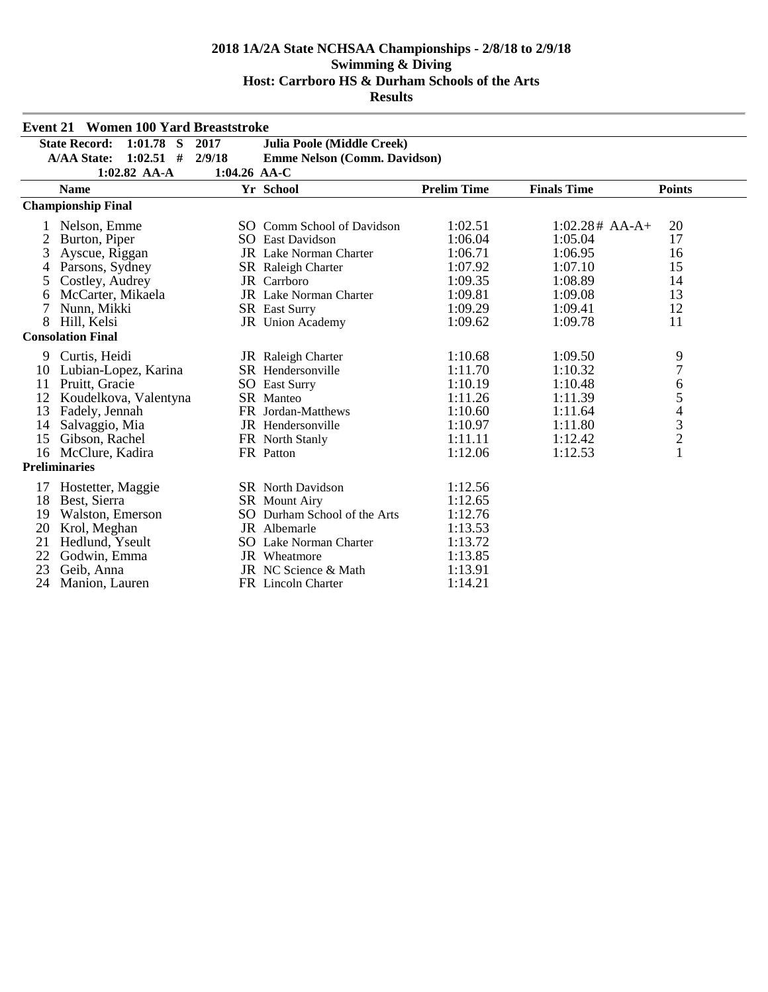| <b>Event 21 Women 100 Yard Breaststroke</b> |                                     |              |                                     |                    |                    |                                |
|---------------------------------------------|-------------------------------------|--------------|-------------------------------------|--------------------|--------------------|--------------------------------|
|                                             | $1:01.78$ S<br><b>State Record:</b> | 2017         | Julia Poole (Middle Creek)          |                    |                    |                                |
|                                             | $1:02.51$ #<br><b>A/AA State:</b>   | 2/9/18       | <b>Emme Nelson (Comm. Davidson)</b> |                    |                    |                                |
|                                             | $1:02.82$ AA-A                      | 1:04.26 AA-C |                                     |                    |                    |                                |
|                                             | <b>Name</b>                         |              | Yr School                           | <b>Prelim Time</b> | <b>Finals Time</b> | <b>Points</b>                  |
|                                             | <b>Championship Final</b>           |              |                                     |                    |                    |                                |
|                                             | Nelson, Emme                        |              | SO Comm School of Davidson          | 1:02.51            | $1:02.28# AA-A+$   | 20                             |
| 2                                           | Burton, Piper                       |              | <b>SO</b> East Davidson             | 1:06.04            | 1:05.04            | 17                             |
| 3                                           | Ayscue, Riggan                      |              | <b>JR</b> Lake Norman Charter       | 1:06.71            | 1:06.95            | 16                             |
|                                             | Parsons, Sydney                     |              | <b>SR</b> Raleigh Charter           | 1:07.92            | 1:07.10            | 15                             |
| 5                                           | Costley, Audrey                     |              | JR Carrboro                         | 1:09.35            | 1:08.89            | 14                             |
| 6                                           | McCarter, Mikaela                   |              | JR Lake Norman Charter              | 1:09.81            | 1:09.08            | 13                             |
| 7                                           | Nunn, Mikki                         |              | <b>SR</b> East Surry                | 1:09.29            | 1:09.41            | 12                             |
| 8                                           | Hill, Kelsi                         |              | <b>JR</b> Union Academy             | 1:09.62            | 1:09.78            | 11                             |
|                                             | <b>Consolation Final</b>            |              |                                     |                    |                    |                                |
| 9                                           | Curtis, Heidi                       |              | JR Raleigh Charter                  | 1:10.68            | 1:09.50            | 9                              |
| 10                                          | Lubian-Lopez, Karina                |              | SR Hendersonville                   | 1:11.70            | 1:10.32            | 7                              |
| 11                                          | Pruitt, Gracie                      |              | <b>SO</b> East Surry                | 1:10.19            | 1:10.48            | 6                              |
| 12                                          | Koudelkova, Valentyna               |              | SR Manteo                           | 1:11.26            | 1:11.39            |                                |
| 13                                          | Fadely, Jennah                      |              | FR Jordan-Matthews                  | 1:10.60            | 1:11.64            | $\frac{5}{4}$<br>$\frac{3}{2}$ |
| 14                                          | Salvaggio, Mia                      |              | JR Hendersonville                   | 1:10.97            | 1:11.80            |                                |
| 15                                          | Gibson, Rachel                      |              | FR North Stanly                     | 1:11.11            | 1:12.42            |                                |
|                                             | 16 McClure, Kadira                  |              | FR Patton                           | 1:12.06            | 1:12.53            | $\mathbf{1}$                   |
|                                             | <b>Preliminaries</b>                |              |                                     |                    |                    |                                |
| 17                                          | Hostetter, Maggie                   |              | <b>SR</b> North Davidson            | 1:12.56            |                    |                                |
| 18                                          | Best, Sierra                        |              | <b>SR</b> Mount Airy                | 1:12.65            |                    |                                |
| 19                                          | Walston, Emerson                    |              | SO Durham School of the Arts        | 1:12.76            |                    |                                |
| 20                                          | Krol, Meghan                        |              | JR Albemarle                        | 1:13.53            |                    |                                |
| 21                                          | Hedlund, Yseult                     |              | <b>SO</b> Lake Norman Charter       | 1:13.72            |                    |                                |
| 22                                          | Godwin, Emma                        |              | JR Wheatmore                        | 1:13.85            |                    |                                |
| 23                                          | Geib, Anna                          |              | JR NC Science & Math                | 1:13.91            |                    |                                |
| 24                                          | Manion, Lauren                      |              | FR Lincoln Charter                  | 1:14.21            |                    |                                |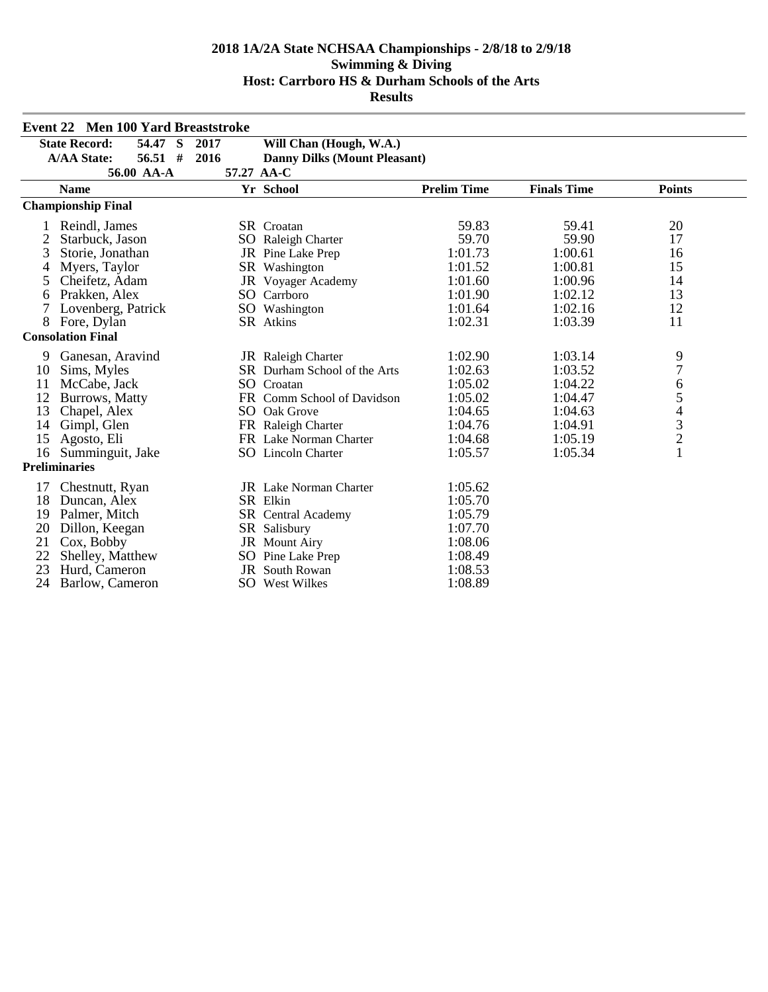| <b>Event 22 Men 100 Yard Breaststroke</b> |                                 |      |                                     |                    |                    |                                            |  |
|-------------------------------------------|---------------------------------|------|-------------------------------------|--------------------|--------------------|--------------------------------------------|--|
| 54.47 S<br><b>State Record:</b><br>2017   |                                 |      | Will Chan (Hough, W.A.)             |                    |                    |                                            |  |
|                                           | $56.51$ #<br><b>A/AA State:</b> | 2016 | <b>Danny Dilks (Mount Pleasant)</b> |                    |                    |                                            |  |
|                                           | 56.00 AA-A                      |      | 57.27 AA-C                          |                    |                    |                                            |  |
|                                           | <b>Name</b>                     |      | Yr School                           | <b>Prelim Time</b> | <b>Finals Time</b> | <b>Points</b>                              |  |
|                                           | <b>Championship Final</b>       |      |                                     |                    |                    |                                            |  |
|                                           | Reindl, James                   |      | <b>SR</b> Croatan                   | 59.83              | 59.41              | 20                                         |  |
| 2                                         | Starbuck, Jason                 |      | SO Raleigh Charter                  | 59.70              | 59.90              | 17                                         |  |
| 3                                         | Storie, Jonathan                |      | JR Pine Lake Prep                   | 1:01.73            | 1:00.61            | 16                                         |  |
| 4                                         | Myers, Taylor                   |      | SR Washington                       | 1:01.52            | 1:00.81            | 15                                         |  |
| 5                                         | Cheifetz, Adam                  |      | JR Voyager Academy                  | 1:01.60            | 1:00.96            | 14                                         |  |
| 6                                         | Prakken, Alex                   |      | SO Carrboro                         | 1:01.90            | 1:02.12            | 13                                         |  |
| 7                                         | Lovenberg, Patrick              |      | SO Washington                       | 1:01.64            | 1:02.16            | 12                                         |  |
| 8                                         | Fore, Dylan                     |      | SR Atkins                           | 1:02.31            | 1:03.39            | 11                                         |  |
|                                           | <b>Consolation Final</b>        |      |                                     |                    |                    |                                            |  |
| 9                                         | Ganesan, Aravind                |      | JR Raleigh Charter                  | 1:02.90            | 1:03.14            | 9                                          |  |
| 10                                        | Sims, Myles                     |      | <b>SR</b> Durham School of the Arts | 1:02.63            | 1:03.52            | $\overline{7}$                             |  |
| 11                                        | McCabe, Jack                    |      | SO Croatan                          | 1:05.02            | 1:04.22            | 6                                          |  |
| 12                                        | Burrows, Matty                  |      | FR Comm School of Davidson          | 1:05.02            | 1:04.47            | 5                                          |  |
| 13                                        | Chapel, Alex                    |      | SO Oak Grove                        | 1:04.65            | 1:04.63            |                                            |  |
| 14                                        | Gimpl, Glen                     |      | FR Raleigh Charter                  | 1:04.76            | 1:04.91            | $\begin{array}{c} 4 \\ 3 \\ 2 \end{array}$ |  |
| 15                                        | Agosto, Eli                     |      | FR Lake Norman Charter              | 1:04.68            | 1:05.19            |                                            |  |
| 16                                        | Summinguit, Jake                |      | <b>SO</b> Lincoln Charter           | 1:05.57            | 1:05.34            | $\mathbf{1}$                               |  |
|                                           | <b>Preliminaries</b>            |      |                                     |                    |                    |                                            |  |
| 17                                        | Chestnutt, Ryan                 |      | <b>JR</b> Lake Norman Charter       | 1:05.62            |                    |                                            |  |
| 18                                        | Duncan, Alex                    |      | SR Elkin                            | 1:05.70            |                    |                                            |  |
| 19                                        | Palmer, Mitch                   |      | SR Central Academy                  | 1:05.79            |                    |                                            |  |
| 20                                        | Dillon, Keegan                  |      | SR Salisbury                        | 1:07.70            |                    |                                            |  |
| 21                                        | Cox, Bobby                      |      | JR Mount Airy                       | 1:08.06            |                    |                                            |  |
| 22                                        | Shelley, Matthew                |      | SO Pine Lake Prep                   | 1:08.49            |                    |                                            |  |
| 23                                        | Hurd, Cameron                   |      | <b>JR</b> South Rowan               | 1:08.53            |                    |                                            |  |
| 24                                        | Barlow, Cameron                 |      | SO West Wilkes                      | 1:08.89            |                    |                                            |  |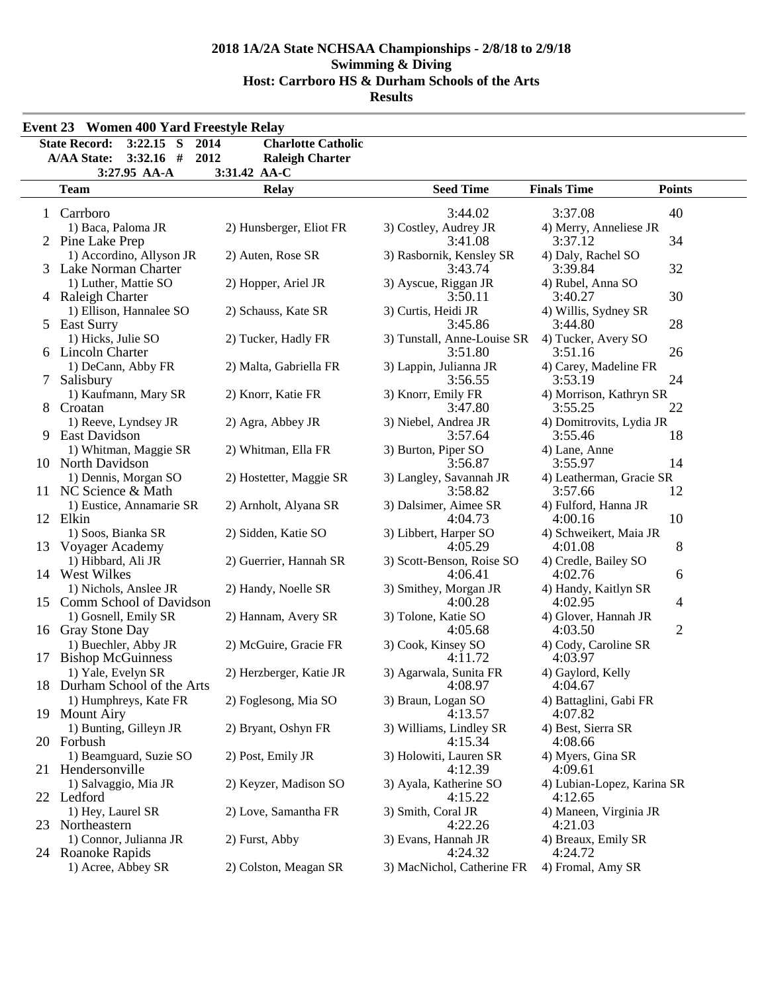| <b>Event 23 Women 400 Yard Freestyle Relay</b>                                                           |                                                                     |                                        |                                       |                |
|----------------------------------------------------------------------------------------------------------|---------------------------------------------------------------------|----------------------------------------|---------------------------------------|----------------|
| <b>State Record:</b><br>$3:22.15$ S<br>2014<br>$3:32.16$ #<br><b>A/AA State:</b><br>2012<br>3:27.95 AA-A | <b>Charlotte Catholic</b><br><b>Raleigh Charter</b><br>3:31.42 AA-C |                                        |                                       |                |
| <b>Team</b>                                                                                              | <b>Relay</b>                                                        | <b>Seed Time</b>                       | <b>Finals Time</b>                    | <b>Points</b>  |
| Carrboro<br>1                                                                                            |                                                                     | 3:44.02                                | 3:37.08                               | 40             |
| 1) Baca, Paloma JR<br>2 Pine Lake Prep                                                                   | 2) Hunsberger, Eliot FR                                             | 3) Costley, Audrey JR<br>3:41.08       | 4) Merry, Anneliese JR<br>3:37.12     | 34             |
| 1) Accordino, Allyson JR<br>3 Lake Norman Charter                                                        | 2) Auten, Rose SR                                                   | 3) Rasbornik, Kensley SR<br>3:43.74    | 4) Daly, Rachel SO<br>3:39.84         | 32             |
| 1) Luther, Mattie SO<br>4 Raleigh Charter                                                                | 2) Hopper, Ariel JR                                                 | 3) Ayscue, Riggan JR<br>3:50.11        | 4) Rubel, Anna SO<br>3:40.27          | 30             |
| 1) Ellison, Hannalee SO<br>5 East Surry                                                                  | 2) Schauss, Kate SR                                                 | 3) Curtis, Heidi JR<br>3:45.86         | 4) Willis, Sydney SR<br>3:44.80       | 28             |
| 1) Hicks, Julie SO<br>6 Lincoln Charter                                                                  | 2) Tucker, Hadly FR                                                 | 3) Tunstall, Anne-Louise SR<br>3:51.80 | 4) Tucker, Avery SO<br>3:51.16        | 26             |
| 1) DeCann, Abby FR<br>$\overline{7}$<br>Salisbury                                                        | 2) Malta, Gabriella FR                                              | 3) Lappin, Julianna JR<br>3:56.55      | 4) Carey, Madeline FR<br>3:53.19      | 24             |
| 1) Kaufmann, Mary SR<br>8 Croatan                                                                        | 2) Knorr, Katie FR                                                  | 3) Knorr, Emily FR<br>3:47.80          | 4) Morrison, Kathryn SR<br>3:55.25    | 22             |
| 1) Reeve, Lyndsey JR<br>9 East Davidson                                                                  | 2) Agra, Abbey JR                                                   | 3) Niebel, Andrea JR<br>3:57.64        | 4) Domitrovits, Lydia JR<br>3:55.46   | 18             |
| 1) Whitman, Maggie SR<br>10 North Davidson                                                               | 2) Whitman, Ella FR                                                 | 3) Burton, Piper SO<br>3:56.87         | 4) Lane, Anne<br>3:55.97              | 14             |
| 1) Dennis, Morgan SO<br>11 NC Science & Math                                                             | 2) Hostetter, Maggie SR                                             | 3) Langley, Savannah JR<br>3:58.82     | 4) Leatherman, Gracie SR<br>3:57.66   | 12             |
| 1) Eustice, Annamarie SR<br>12 Elkin                                                                     | 2) Arnholt, Alyana SR                                               | 3) Dalsimer, Aimee SR<br>4:04.73       | 4) Fulford, Hanna JR<br>4:00.16       | 10             |
| 1) Soos, Bianka SR<br>13 Voyager Academy                                                                 | 2) Sidden, Katie SO                                                 | 3) Libbert, Harper SO<br>4:05.29       | 4) Schweikert, Maia JR<br>4:01.08     | 8              |
| 1) Hibbard, Ali JR<br>14 West Wilkes                                                                     | 2) Guerrier, Hannah SR                                              | 3) Scott-Benson, Roise SO<br>4:06.41   | 4) Credle, Bailey SO<br>4:02.76       | 6              |
| 1) Nichols, Anslee JR<br>15 Comm School of Davidson                                                      | 2) Handy, Noelle SR                                                 | 3) Smithey, Morgan JR<br>4:00.28       | 4) Handy, Kaitlyn SR<br>4:02.95       | 4              |
| 1) Gosnell, Emily SR<br>16 Gray Stone Day                                                                | 2) Hannam, Avery SR                                                 | 3) Tolone, Katie SO<br>4:05.68         | 4) Glover, Hannah JR<br>4:03.50       | $\overline{c}$ |
| 1) Buechler, Abby JR<br><b>Bishop McGuinness</b><br>17                                                   | 2) McGuire, Gracie FR                                               | 3) Cook, Kinsey SO<br>4:11.72          | 4) Cody, Caroline SR<br>4:03.97       |                |
| 1) Yale, Evelyn SR<br>Durham School of the Arts<br>18                                                    | 2) Herzberger, Katie JR                                             | 3) Agarwala, Sunita FR<br>4:08.97      | 4) Gaylord, Kelly<br>4:04.67          |                |
| 1) Humphreys, Kate FR<br>19 Mount Airy                                                                   | 2) Foglesong, Mia SO                                                | 3) Braun, Logan SO<br>4:13.57          | 4) Battaglini, Gabi FR<br>4:07.82     |                |
| 1) Bunting, Gilleyn JR<br>20 Forbush                                                                     | 2) Bryant, Oshyn FR                                                 | 3) Williams, Lindley SR<br>4:15.34     | 4) Best, Sierra SR<br>4:08.66         |                |
| 1) Beamguard, Suzie SO<br>Hendersonville<br>21                                                           | 2) Post, Emily JR                                                   | 3) Holowiti, Lauren SR<br>4:12.39      | 4) Myers, Gina SR<br>4:09.61          |                |
| 1) Salvaggio, Mia JR<br>22 Ledford                                                                       | 2) Keyzer, Madison SO                                               | 3) Ayala, Katherine SO<br>4:15.22      | 4) Lubian-Lopez, Karina SR<br>4:12.65 |                |
| 1) Hey, Laurel SR<br>23 Northeastern                                                                     | 2) Love, Samantha FR                                                | 3) Smith, Coral JR<br>4:22.26          | 4) Maneen, Virginia JR<br>4:21.03     |                |
| 1) Connor, Julianna JR<br>24 Roanoke Rapids                                                              | 2) Furst, Abby                                                      | 3) Evans, Hannah JR<br>4:24.32         | 4) Breaux, Emily SR<br>4:24.72        |                |
| 1) Acree, Abbey SR                                                                                       | 2) Colston, Meagan SR                                               | 3) MacNichol, Catherine FR             | 4) Fromal, Amy SR                     |                |